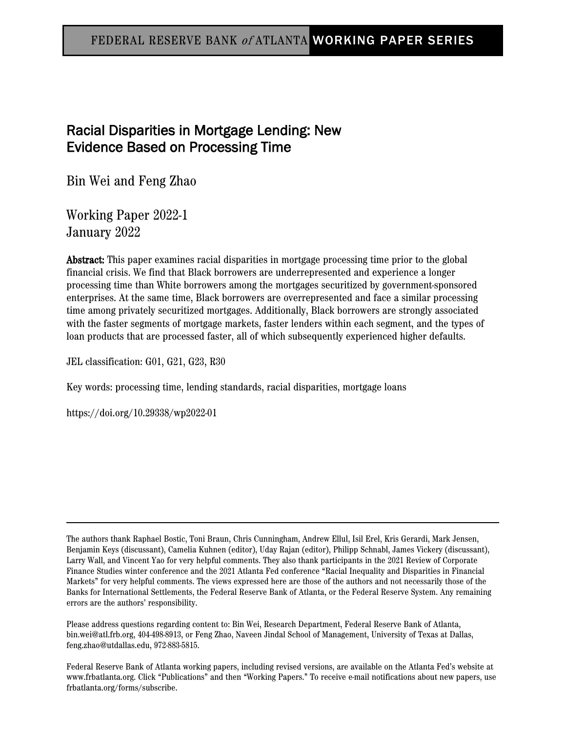### FEDERAL RESERVE BANK <sup>o</sup><sup>f</sup> ATLANTA WORKING PAPER SERIES

## Racial Disparities in Mortgage Lending: New Evidence Based on Processing Time

Bin Wei and Feng Zhao

Working Paper 2022-1 January 2022

Abstract: This paper examines racial disparities in mortgage processing time prior to the global financial crisis. We find that Black borrowers are underrepresented and experience a longer processing time than White borrowers among the mortgages securitized by government-sponsored enterprises. At the same time, Black borrowers are overrepresented and face a similar processing time among privately securitized mortgages. Additionally, Black borrowers are strongly associated with the faster segments of mortgage markets, faster lenders within each segment, and the types of loan products that are processed faster, all of which subsequently experienced higher defaults.

JEL classification: G01, G21, G23, R30

Key words: processing time, lending standards, racial disparities, mortgage loans

https://doi.org/10.29338/wp2022-01

The authors thank Raphael Bostic, Toni Braun, Chris Cunningham, Andrew Ellul, Isil Erel, Kris Gerardi, Mark Jensen, Benjamin Keys (discussant), Camelia Kuhnen (editor), Uday Rajan (editor), Philipp Schnabl, James Vickery (discussant), Larry Wall, and Vincent Yao for very helpful comments. They also thank participants in the 2021 Review of Corporate Finance Studies winter conference and the 2021 Atlanta Fed conference "Racial Inequality and Disparities in Financial Markets" for very helpful comments. The views expressed here are those of the authors and not necessarily those of the Banks for International Settlements, the Federal Reserve Bank of Atlanta, or the Federal Reserve System. Any remaining errors are the authors' responsibility.

Please address questions regarding content to: Bin Wei, Research Department, Federal Reserve Bank of Atlanta, bin.wei@atl.frb.org, 404-498-8913, or Feng Zhao, Naveen Jindal School of Management, University of Texas at Dallas, feng.zhao@utdallas.edu, 972-883-5815.

Federal Reserve Bank of Atlanta working papers, including revised versions, are available on the Atlanta Fed's website at www.frbatlanta.org. Click "Publications" and then "Working Papers." To receive e-mail notifications about new papers, use frbatlanta.org/forms/subscribe.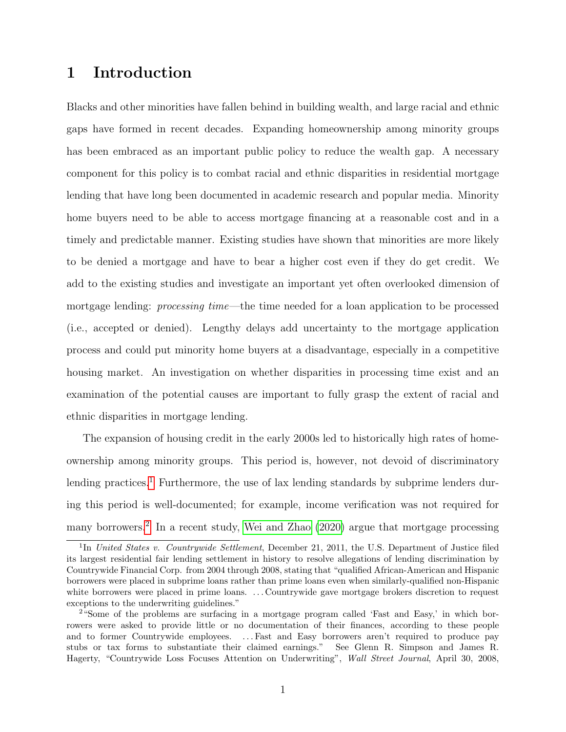## 1 Introduction

Blacks and other minorities have fallen behind in building wealth, and large racial and ethnic gaps have formed in recent decades. Expanding homeownership among minority groups has been embraced as an important public policy to reduce the wealth gap. A necessary component for this policy is to combat racial and ethnic disparities in residential mortgage lending that have long been documented in academic research and popular media. Minority home buyers need to be able to access mortgage financing at a reasonable cost and in a timely and predictable manner. Existing studies have shown that minorities are more likely to be denied a mortgage and have to bear a higher cost even if they do get credit. We add to the existing studies and investigate an important yet often overlooked dimension of mortgage lending: processing time—the time needed for a loan application to be processed (i.e., accepted or denied). Lengthy delays add uncertainty to the mortgage application process and could put minority home buyers at a disadvantage, especially in a competitive housing market. An investigation on whether disparities in processing time exist and an examination of the potential causes are important to fully grasp the extent of racial and ethnic disparities in mortgage lending.

The expansion of housing credit in the early 2000s led to historically high rates of homeownership among minority groups. This period is, however, not devoid of discriminatory lending practices.<sup>[1](#page-1-0)</sup> Furthermore, the use of lax lending standards by subprime lenders during this period is well-documented; for example, income verification was not required for many borrowers.<sup>[2](#page-1-1)</sup> In a recent study, [Wei and Zhao](#page-38-0) [\(2020\)](#page-38-0) argue that mortgage processing

<span id="page-1-0"></span><sup>&</sup>lt;sup>1</sup>In United States v. Countrywide Settlement, December 21, 2011, the U.S. Department of Justice filed its largest residential fair lending settlement in history to resolve allegations of lending discrimination by Countrywide Financial Corp. from 2004 through 2008, stating that "qualified African-American and Hispanic borrowers were placed in subprime loans rather than prime loans even when similarly-qualified non-Hispanic white borrowers were placed in prime loans. ...Countrywide gave mortgage brokers discretion to request exceptions to the underwriting guidelines."

<span id="page-1-1"></span><sup>2</sup>"Some of the problems are surfacing in a mortgage program called 'Fast and Easy,' in which borrowers were asked to provide little or no documentation of their finances, according to these people and to former Countrywide employees. . . . Fast and Easy borrowers aren't required to produce pay stubs or tax forms to substantiate their claimed earnings." See Glenn R. Simpson and James R. Hagerty, "Countrywide Loss Focuses Attention on Underwriting", Wall Street Journal, April 30, 2008,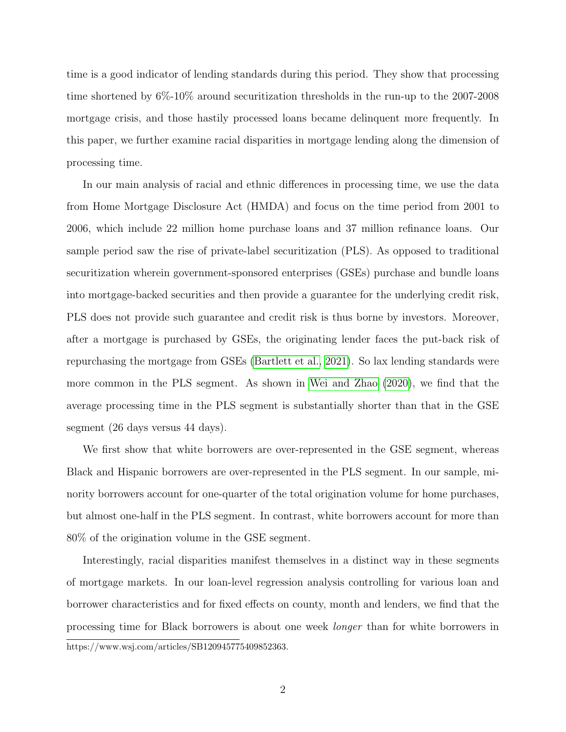time is a good indicator of lending standards during this period. They show that processing time shortened by 6%-10% around securitization thresholds in the run-up to the 2007-2008 mortgage crisis, and those hastily processed loans became delinquent more frequently. In this paper, we further examine racial disparities in mortgage lending along the dimension of processing time.

In our main analysis of racial and ethnic differences in processing time, we use the data from Home Mortgage Disclosure Act (HMDA) and focus on the time period from 2001 to 2006, which include 22 million home purchase loans and 37 million refinance loans. Our sample period saw the rise of private-label securitization (PLS). As opposed to traditional securitization wherein government-sponsored enterprises (GSEs) purchase and bundle loans into mortgage-backed securities and then provide a guarantee for the underlying credit risk, PLS does not provide such guarantee and credit risk is thus borne by investors. Moreover, after a mortgage is purchased by GSEs, the originating lender faces the put-back risk of repurchasing the mortgage from GSEs [\(Bartlett et al., 2021\)](#page-35-0). So lax lending standards were more common in the PLS segment. As shown in [Wei and Zhao](#page-38-0) [\(2020\)](#page-38-0), we find that the average processing time in the PLS segment is substantially shorter than that in the GSE segment (26 days versus 44 days).

We first show that white borrowers are over-represented in the GSE segment, whereas Black and Hispanic borrowers are over-represented in the PLS segment. In our sample, minority borrowers account for one-quarter of the total origination volume for home purchases, but almost one-half in the PLS segment. In contrast, white borrowers account for more than 80% of the origination volume in the GSE segment.

Interestingly, racial disparities manifest themselves in a distinct way in these segments of mortgage markets. In our loan-level regression analysis controlling for various loan and borrower characteristics and for fixed effects on county, month and lenders, we find that the processing time for Black borrowers is about one week longer than for white borrowers in https://www.wsj.com/articles/SB120945775409852363.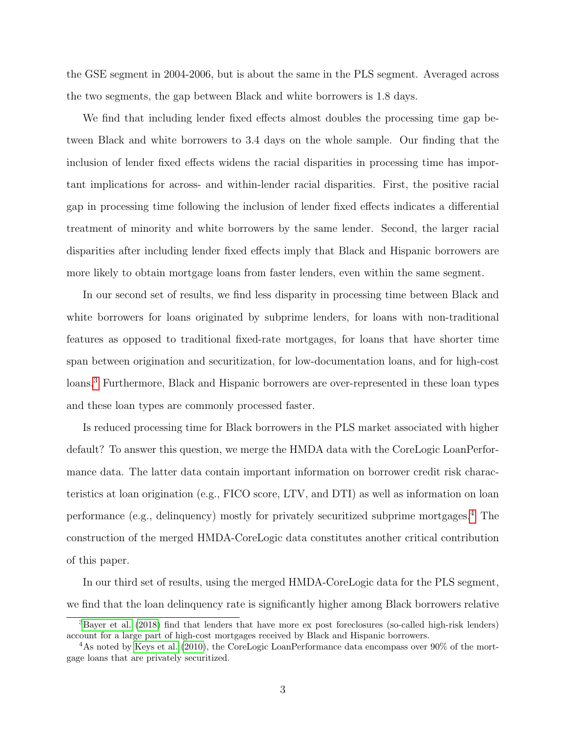the GSE segment in 2004-2006, but is about the same in the PLS segment. Averaged across the two segments, the gap between Black and white borrowers is 1.8 days.

We find that including lender fixed effects almost doubles the processing time gap between Black and white borrowers to 3.4 days on the whole sample. Our finding that the inclusion of lender fixed effects widens the racial disparities in processing time has important implications for across- and within-lender racial disparities. First, the positive racial gap in processing time following the inclusion of lender fixed effects indicates a differential treatment of minority and white borrowers by the same lender. Second, the larger racial disparities after including lender fixed effects imply that Black and Hispanic borrowers are more likely to obtain mortgage loans from faster lenders, even within the same segment.

In our second set of results, we find less disparity in processing time between Black and white borrowers for loans originated by subprime lenders, for loans with non-traditional features as opposed to traditional fixed-rate mortgages, for loans that have shorter time span between origination and securitization, for low-documentation loans, and for high-cost loans.[3](#page-3-0) Furthermore, Black and Hispanic borrowers are over-represented in these loan types and these loan types are commonly processed faster.

Is reduced processing time for Black borrowers in the PLS market associated with higher default? To answer this question, we merge the HMDA data with the CoreLogic LoanPerformance data. The latter data contain important information on borrower credit risk characteristics at loan origination (e.g., FICO score, LTV, and DTI) as well as information on loan performance (e.g., delinquency) mostly for privately securitized subprime mortgages.[4](#page-3-1) The construction of the merged HMDA-CoreLogic data constitutes another critical contribution of this paper.

In our third set of results, using the merged HMDA-CoreLogic data for the PLS segment, we find that the loan delinquency rate is significantly higher among Black borrowers relative

<span id="page-3-0"></span><sup>3</sup>[Bayer et al.](#page-35-1) [\(2018\)](#page-35-1) find that lenders that have more ex post foreclosures (so-called high-risk lenders) account for a large part of high-cost mortgages received by Black and Hispanic borrowers.

<span id="page-3-1"></span><sup>&</sup>lt;sup>4</sup>As noted by [Keys et al.](#page-37-0) [\(2010\)](#page-37-0), the CoreLogic LoanPerformance data encompass over  $90\%$  of the mortgage loans that are privately securitized.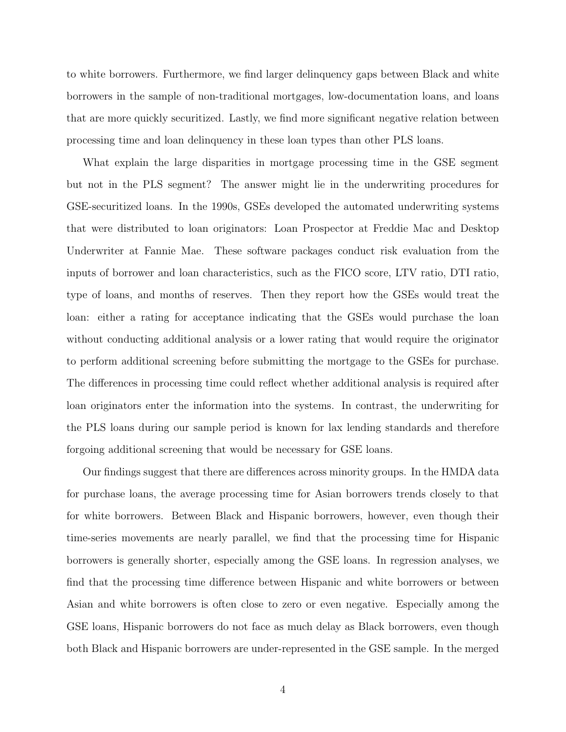to white borrowers. Furthermore, we find larger delinquency gaps between Black and white borrowers in the sample of non-traditional mortgages, low-documentation loans, and loans that are more quickly securitized. Lastly, we find more significant negative relation between processing time and loan delinquency in these loan types than other PLS loans.

What explain the large disparities in mortgage processing time in the GSE segment but not in the PLS segment? The answer might lie in the underwriting procedures for GSE-securitized loans. In the 1990s, GSEs developed the automated underwriting systems that were distributed to loan originators: Loan Prospector at Freddie Mac and Desktop Underwriter at Fannie Mae. These software packages conduct risk evaluation from the inputs of borrower and loan characteristics, such as the FICO score, LTV ratio, DTI ratio, type of loans, and months of reserves. Then they report how the GSEs would treat the loan: either a rating for acceptance indicating that the GSEs would purchase the loan without conducting additional analysis or a lower rating that would require the originator to perform additional screening before submitting the mortgage to the GSEs for purchase. The differences in processing time could reflect whether additional analysis is required after loan originators enter the information into the systems. In contrast, the underwriting for the PLS loans during our sample period is known for lax lending standards and therefore forgoing additional screening that would be necessary for GSE loans.

Our findings suggest that there are differences across minority groups. In the HMDA data for purchase loans, the average processing time for Asian borrowers trends closely to that for white borrowers. Between Black and Hispanic borrowers, however, even though their time-series movements are nearly parallel, we find that the processing time for Hispanic borrowers is generally shorter, especially among the GSE loans. In regression analyses, we find that the processing time difference between Hispanic and white borrowers or between Asian and white borrowers is often close to zero or even negative. Especially among the GSE loans, Hispanic borrowers do not face as much delay as Black borrowers, even though both Black and Hispanic borrowers are under-represented in the GSE sample. In the merged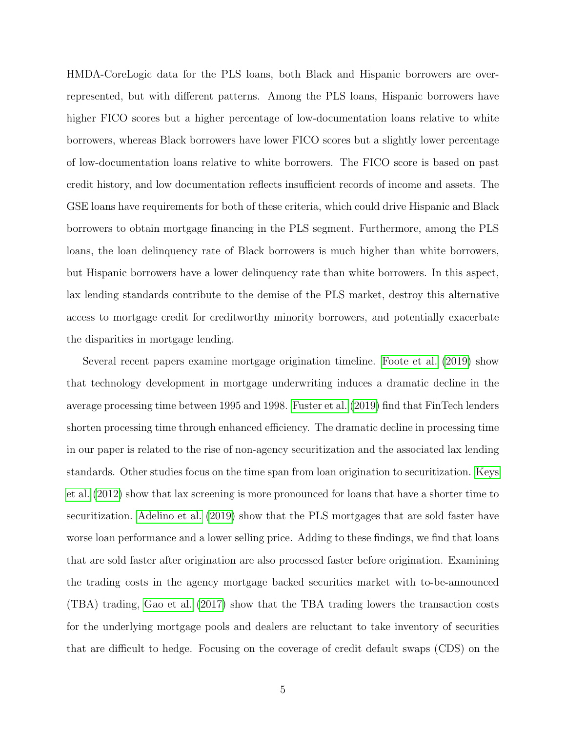HMDA-CoreLogic data for the PLS loans, both Black and Hispanic borrowers are overrepresented, but with different patterns. Among the PLS loans, Hispanic borrowers have higher FICO scores but a higher percentage of low-documentation loans relative to white borrowers, whereas Black borrowers have lower FICO scores but a slightly lower percentage of low-documentation loans relative to white borrowers. The FICO score is based on past credit history, and low documentation reflects insufficient records of income and assets. The GSE loans have requirements for both of these criteria, which could drive Hispanic and Black borrowers to obtain mortgage financing in the PLS segment. Furthermore, among the PLS loans, the loan delinquency rate of Black borrowers is much higher than white borrowers, but Hispanic borrowers have a lower delinquency rate than white borrowers. In this aspect, lax lending standards contribute to the demise of the PLS market, destroy this alternative access to mortgage credit for creditworthy minority borrowers, and potentially exacerbate the disparities in mortgage lending.

Several recent papers examine mortgage origination timeline. [Foote et al.](#page-36-0) [\(2019\)](#page-36-0) show that technology development in mortgage underwriting induces a dramatic decline in the average processing time between 1995 and 1998. [Fuster et al.](#page-36-1) [\(2019\)](#page-36-1) find that FinTech lenders shorten processing time through enhanced efficiency. The dramatic decline in processing time in our paper is related to the rise of non-agency securitization and the associated lax lending standards. Other studies focus on the time span from loan origination to securitization. [Keys](#page-37-1) [et al.](#page-37-1) [\(2012\)](#page-37-1) show that lax screening is more pronounced for loans that have a shorter time to securitization. [Adelino et al.](#page-35-2) [\(2019\)](#page-35-2) show that the PLS mortgages that are sold faster have worse loan performance and a lower selling price. Adding to these findings, we find that loans that are sold faster after origination are also processed faster before origination. Examining the trading costs in the agency mortgage backed securities market with to-be-announced (TBA) trading, [Gao et al.](#page-36-2) [\(2017\)](#page-36-2) show that the TBA trading lowers the transaction costs for the underlying mortgage pools and dealers are reluctant to take inventory of securities that are difficult to hedge. Focusing on the coverage of credit default swaps (CDS) on the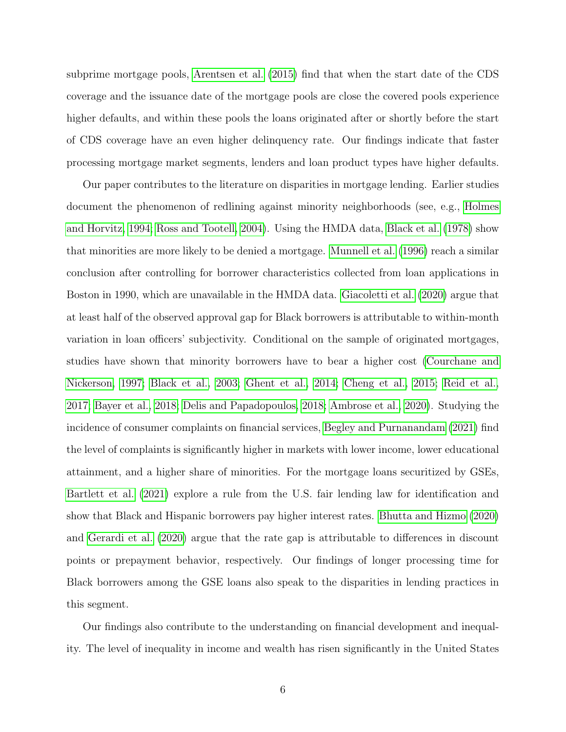subprime mortgage pools, [Arentsen et al.](#page-35-3) [\(2015\)](#page-35-3) find that when the start date of the CDS coverage and the issuance date of the mortgage pools are close the covered pools experience higher defaults, and within these pools the loans originated after or shortly before the start of CDS coverage have an even higher delinquency rate. Our findings indicate that faster processing mortgage market segments, lenders and loan product types have higher defaults.

Our paper contributes to the literature on disparities in mortgage lending. Earlier studies document the phenomenon of redlining against minority neighborhoods (see, e.g., [Holmes](#page-37-2) [and Horvitz, 1994;](#page-37-2) [Ross and Tootell, 2004\)](#page-38-1). Using the HMDA data, [Black et al.](#page-35-4) [\(1978\)](#page-35-4) show that minorities are more likely to be denied a mortgage. [Munnell et al.](#page-37-3) [\(1996\)](#page-37-3) reach a similar conclusion after controlling for borrower characteristics collected from loan applications in Boston in 1990, which are unavailable in the HMDA data. [Giacoletti et al.](#page-36-3) [\(2020\)](#page-36-3) argue that at least half of the observed approval gap for Black borrowers is attributable to within-month variation in loan officers' subjectivity. Conditional on the sample of originated mortgages, studies have shown that minority borrowers have to bear a higher cost [\(Courchane and](#page-36-4) [Nickerson, 1997;](#page-36-4) [Black et al., 2003;](#page-35-5) [Ghent et al., 2014;](#page-36-5) [Cheng et al., 2015;](#page-36-6) [Reid et al.,](#page-37-4) [2017;](#page-37-4) [Bayer et al., 2018;](#page-35-1) [Delis and Papadopoulos, 2018;](#page-36-7) [Ambrose et al., 2020\)](#page-35-6). Studying the incidence of consumer complaints on financial services, [Begley and Purnanandam](#page-35-7) [\(2021\)](#page-35-7) find the level of complaints is significantly higher in markets with lower income, lower educational attainment, and a higher share of minorities. For the mortgage loans securitized by GSEs, [Bartlett et al.](#page-35-0) [\(2021\)](#page-35-0) explore a rule from the U.S. fair lending law for identification and show that Black and Hispanic borrowers pay higher interest rates. [Bhutta and Hizmo](#page-35-8) [\(2020\)](#page-35-8) and [Gerardi et al.](#page-36-8) [\(2020\)](#page-36-8) argue that the rate gap is attributable to differences in discount points or prepayment behavior, respectively. Our findings of longer processing time for Black borrowers among the GSE loans also speak to the disparities in lending practices in this segment.

Our findings also contribute to the understanding on financial development and inequality. The level of inequality in income and wealth has risen significantly in the United States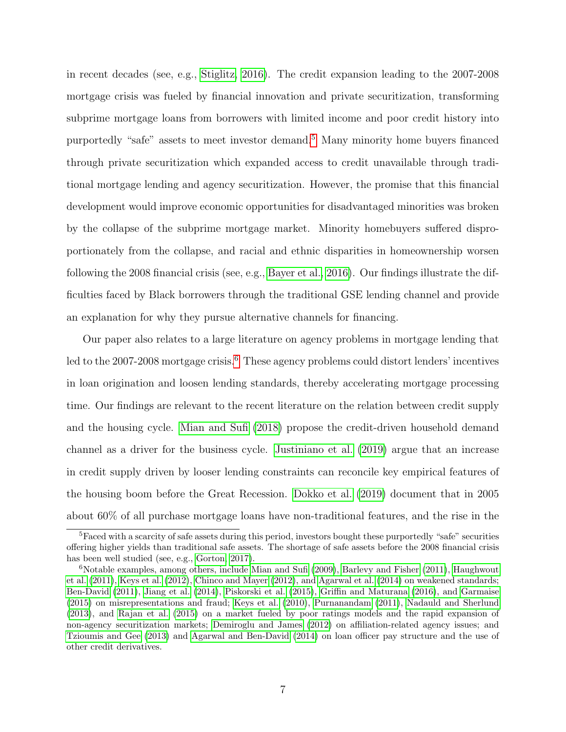in recent decades (see, e.g., [Stiglitz, 2016\)](#page-38-2). The credit expansion leading to the 2007-2008 mortgage crisis was fueled by financial innovation and private securitization, transforming subprime mortgage loans from borrowers with limited income and poor credit history into purportedly "safe" assets to meet investor demand.[5](#page-7-0) Many minority home buyers financed through private securitization which expanded access to credit unavailable through traditional mortgage lending and agency securitization. However, the promise that this financial development would improve economic opportunities for disadvantaged minorities was broken by the collapse of the subprime mortgage market. Minority homebuyers suffered disproportionately from the collapse, and racial and ethnic disparities in homeownership worsen following the 2008 financial crisis (see, e.g., [Bayer et al., 2016\)](#page-35-9). Our findings illustrate the difficulties faced by Black borrowers through the traditional GSE lending channel and provide an explanation for why they pursue alternative channels for financing.

Our paper also relates to a large literature on agency problems in mortgage lending that led to the 2007-2008 mortgage crisis.<sup>[6](#page-7-1)</sup> These agency problems could distort lenders' incentives in loan origination and loosen lending standards, thereby accelerating mortgage processing time. Our findings are relevant to the recent literature on the relation between credit supply and the housing cycle. [Mian and Sufi](#page-37-5) [\(2018\)](#page-37-5) propose the credit-driven household demand channel as a driver for the business cycle. [Justiniano et al.](#page-37-6) [\(2019\)](#page-37-6) argue that an increase in credit supply driven by looser lending constraints can reconcile key empirical features of the housing boom before the Great Recession. [Dokko et al.](#page-36-9) [\(2019\)](#page-36-9) document that in 2005 about 60% of all purchase mortgage loans have non-traditional features, and the rise in the

<span id="page-7-0"></span><sup>5</sup>Faced with a scarcity of safe assets during this period, investors bought these purportedly "safe" securities offering higher yields than traditional safe assets. The shortage of safe assets before the 2008 financial crisis has been well studied (see, e.g., [Gorton, 2017\)](#page-36-10).

<span id="page-7-1"></span> $6N$ otable examples, among others, include [Mian and Sufi](#page-37-7) [\(2009\)](#page-37-7), [Barlevy and Fisher](#page-35-10) [\(2011\)](#page-35-10), [Haughwout](#page-37-8) [et al.](#page-37-8) [\(2011\)](#page-37-8), [Keys et al.](#page-37-1) [\(2012\)](#page-37-1), [Chinco and Mayer](#page-36-11) [\(2012\)](#page-36-11), and [Agarwal et al.](#page-35-11) [\(2014\)](#page-35-11) on weakened standards; [Ben-David](#page-35-12) [\(2011\)](#page-35-12), [Jiang et al.](#page-37-9) [\(2014\)](#page-37-9), [Piskorski et al.](#page-37-10) [\(2015\)](#page-37-10), [Griffin and Maturana](#page-37-11) [\(2016\)](#page-37-11), and [Garmaise](#page-36-12) [\(2015\)](#page-36-12) on misrepresentations and fraud; [Keys et al.](#page-37-0) [\(2010\)](#page-37-0), [Purnanandam](#page-37-12) [\(2011\)](#page-37-12), [Nadauld and Sherlund](#page-37-13) [\(2013\)](#page-37-13), and [Rajan et al.](#page-37-14) [\(2015\)](#page-37-14) on a market fueled by poor ratings models and the rapid expansion of non-agency securitization markets; [Demiroglu and James](#page-36-13) [\(2012\)](#page-36-13) on affiliation-related agency issues; and [Tzioumis and Gee](#page-38-3) [\(2013\)](#page-38-3) and [Agarwal and Ben-David](#page-35-13) [\(2014\)](#page-35-13) on loan officer pay structure and the use of other credit derivatives.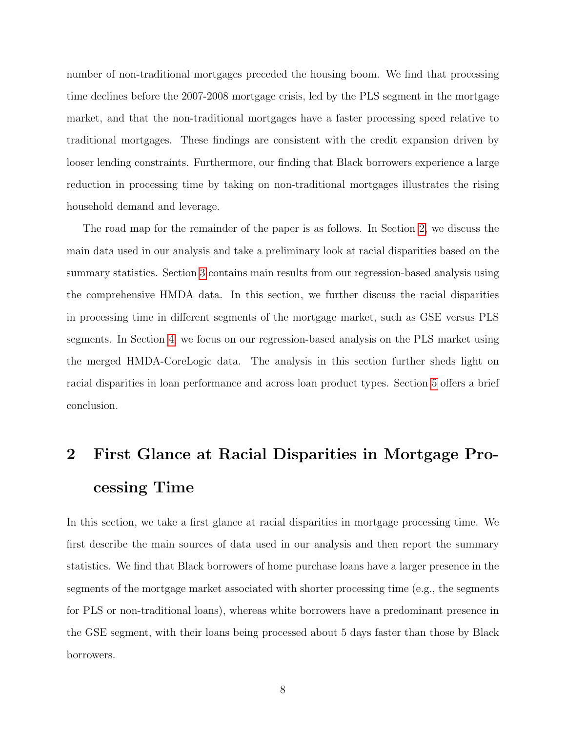number of non-traditional mortgages preceded the housing boom. We find that processing time declines before the 2007-2008 mortgage crisis, led by the PLS segment in the mortgage market, and that the non-traditional mortgages have a faster processing speed relative to traditional mortgages. These findings are consistent with the credit expansion driven by looser lending constraints. Furthermore, our finding that Black borrowers experience a large reduction in processing time by taking on non-traditional mortgages illustrates the rising household demand and leverage.

The road map for the remainder of the paper is as follows. In Section [2,](#page-8-0) we discuss the main data used in our analysis and take a preliminary look at racial disparities based on the summary statistics. Section [3](#page-19-0) contains main results from our regression-based analysis using the comprehensive HMDA data. In this section, we further discuss the racial disparities in processing time in different segments of the mortgage market, such as GSE versus PLS segments. In Section [4,](#page-29-0) we focus on our regression-based analysis on the PLS market using the merged HMDA-CoreLogic data. The analysis in this section further sheds light on racial disparities in loan performance and across loan product types. Section [5](#page-34-0) offers a brief conclusion.

# <span id="page-8-0"></span>2 First Glance at Racial Disparities in Mortgage Processing Time

In this section, we take a first glance at racial disparities in mortgage processing time. We first describe the main sources of data used in our analysis and then report the summary statistics. We find that Black borrowers of home purchase loans have a larger presence in the segments of the mortgage market associated with shorter processing time (e.g., the segments for PLS or non-traditional loans), whereas white borrowers have a predominant presence in the GSE segment, with their loans being processed about 5 days faster than those by Black borrowers.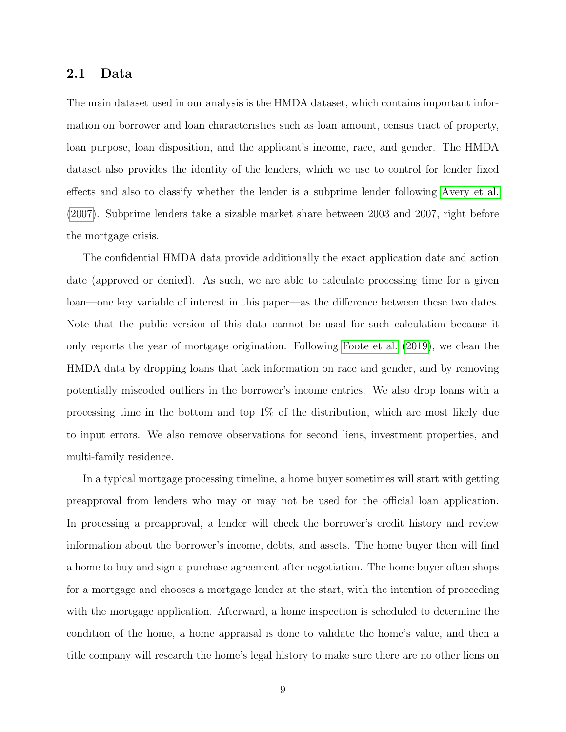#### 2.1 Data

The main dataset used in our analysis is the HMDA dataset, which contains important information on borrower and loan characteristics such as loan amount, census tract of property, loan purpose, loan disposition, and the applicant's income, race, and gender. The HMDA dataset also provides the identity of the lenders, which we use to control for lender fixed effects and also to classify whether the lender is a subprime lender following [Avery et al.](#page-35-14) [\(2007\)](#page-35-14). Subprime lenders take a sizable market share between 2003 and 2007, right before the mortgage crisis.

The confidential HMDA data provide additionally the exact application date and action date (approved or denied). As such, we are able to calculate processing time for a given loan—one key variable of interest in this paper—as the difference between these two dates. Note that the public version of this data cannot be used for such calculation because it only reports the year of mortgage origination. Following [Foote et al.](#page-36-0) [\(2019\)](#page-36-0), we clean the HMDA data by dropping loans that lack information on race and gender, and by removing potentially miscoded outliers in the borrower's income entries. We also drop loans with a processing time in the bottom and top 1% of the distribution, which are most likely due to input errors. We also remove observations for second liens, investment properties, and multi-family residence.

In a typical mortgage processing timeline, a home buyer sometimes will start with getting preapproval from lenders who may or may not be used for the official loan application. In processing a preapproval, a lender will check the borrower's credit history and review information about the borrower's income, debts, and assets. The home buyer then will find a home to buy and sign a purchase agreement after negotiation. The home buyer often shops for a mortgage and chooses a mortgage lender at the start, with the intention of proceeding with the mortgage application. Afterward, a home inspection is scheduled to determine the condition of the home, a home appraisal is done to validate the home's value, and then a title company will research the home's legal history to make sure there are no other liens on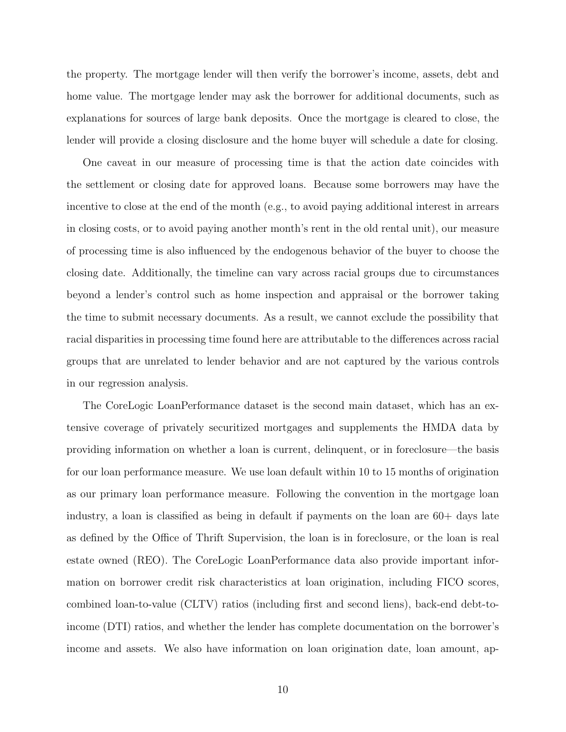the property. The mortgage lender will then verify the borrower's income, assets, debt and home value. The mortgage lender may ask the borrower for additional documents, such as explanations for sources of large bank deposits. Once the mortgage is cleared to close, the lender will provide a closing disclosure and the home buyer will schedule a date for closing.

One caveat in our measure of processing time is that the action date coincides with the settlement or closing date for approved loans. Because some borrowers may have the incentive to close at the end of the month (e.g., to avoid paying additional interest in arrears in closing costs, or to avoid paying another month's rent in the old rental unit), our measure of processing time is also influenced by the endogenous behavior of the buyer to choose the closing date. Additionally, the timeline can vary across racial groups due to circumstances beyond a lender's control such as home inspection and appraisal or the borrower taking the time to submit necessary documents. As a result, we cannot exclude the possibility that racial disparities in processing time found here are attributable to the differences across racial groups that are unrelated to lender behavior and are not captured by the various controls in our regression analysis.

The CoreLogic LoanPerformance dataset is the second main dataset, which has an extensive coverage of privately securitized mortgages and supplements the HMDA data by providing information on whether a loan is current, delinquent, or in foreclosure—the basis for our loan performance measure. We use loan default within 10 to 15 months of origination as our primary loan performance measure. Following the convention in the mortgage loan industry, a loan is classified as being in default if payments on the loan are 60+ days late as defined by the Office of Thrift Supervision, the loan is in foreclosure, or the loan is real estate owned (REO). The CoreLogic LoanPerformance data also provide important information on borrower credit risk characteristics at loan origination, including FICO scores, combined loan-to-value (CLTV) ratios (including first and second liens), back-end debt-toincome (DTI) ratios, and whether the lender has complete documentation on the borrower's income and assets. We also have information on loan origination date, loan amount, ap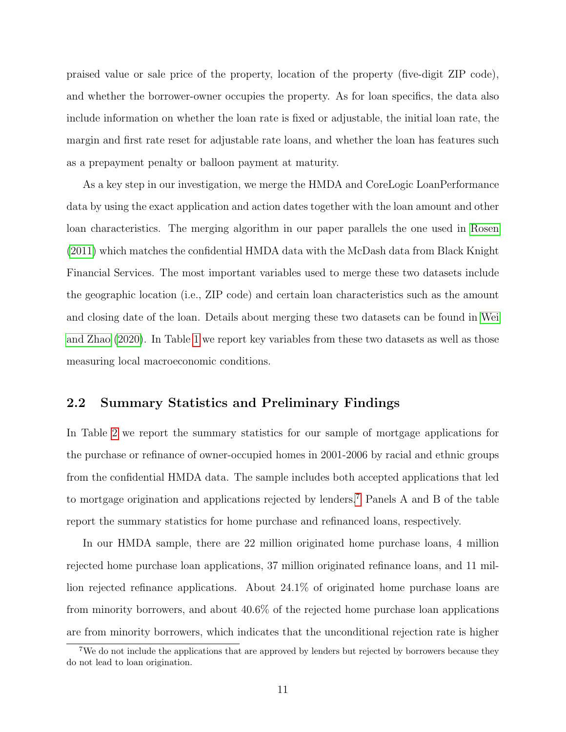praised value or sale price of the property, location of the property (five-digit ZIP code), and whether the borrower-owner occupies the property. As for loan specifics, the data also include information on whether the loan rate is fixed or adjustable, the initial loan rate, the margin and first rate reset for adjustable rate loans, and whether the loan has features such as a prepayment penalty or balloon payment at maturity.

As a key step in our investigation, we merge the HMDA and CoreLogic LoanPerformance data by using the exact application and action dates together with the loan amount and other loan characteristics. The merging algorithm in our paper parallels the one used in [Rosen](#page-37-15) [\(2011\)](#page-37-15) which matches the confidential HMDA data with the McDash data from Black Knight Financial Services. The most important variables used to merge these two datasets include the geographic location (i.e., ZIP code) and certain loan characteristics such as the amount and closing date of the loan. Details about merging these two datasets can be found in [Wei](#page-38-0) [and Zhao](#page-38-0) [\(2020\)](#page-38-0). In Table [1](#page-43-0) we report key variables from these two datasets as well as those measuring local macroeconomic conditions.

#### 2.2 Summary Statistics and Preliminary Findings

In Table [2](#page-44-0) we report the summary statistics for our sample of mortgage applications for the purchase or refinance of owner-occupied homes in 2001-2006 by racial and ethnic groups from the confidential HMDA data. The sample includes both accepted applications that led to mortgage origination and applications rejected by lenders.[7](#page-11-0) Panels A and B of the table report the summary statistics for home purchase and refinanced loans, respectively.

In our HMDA sample, there are 22 million originated home purchase loans, 4 million rejected home purchase loan applications, 37 million originated refinance loans, and 11 million rejected refinance applications. About 24.1% of originated home purchase loans are from minority borrowers, and about 40.6% of the rejected home purchase loan applications are from minority borrowers, which indicates that the unconditional rejection rate is higher

<span id="page-11-0"></span><sup>&</sup>lt;sup>7</sup>We do not include the applications that are approved by lenders but rejected by borrowers because they do not lead to loan origination.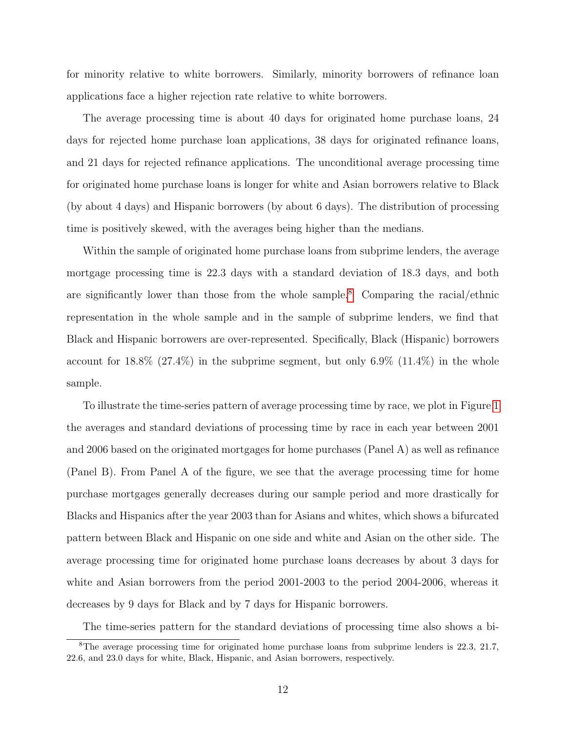for minority relative to white borrowers. Similarly, minority borrowers of refinance loan applications face a higher rejection rate relative to white borrowers.

The average processing time is about 40 days for originated home purchase loans, 24 days for rejected home purchase loan applications, 38 days for originated refinance loans, and 21 days for rejected refinance applications. The unconditional average processing time for originated home purchase loans is longer for white and Asian borrowers relative to Black (by about 4 days) and Hispanic borrowers (by about 6 days). The distribution of processing time is positively skewed, with the averages being higher than the medians.

Within the sample of originated home purchase loans from subprime lenders, the average mortgage processing time is 22.3 days with a standard deviation of 18.3 days, and both are significantly lower than those from the whole sample.<sup>[8](#page-12-0)</sup> Comparing the racial/ethnic representation in the whole sample and in the sample of subprime lenders, we find that Black and Hispanic borrowers are over-represented. Specifically, Black (Hispanic) borrowers account for  $18.8\%$  (27.4%) in the subprime segment, but only 6.9% (11.4%) in the whole sample.

To illustrate the time-series pattern of average processing time by race, we plot in Figure [1](#page-39-0) the averages and standard deviations of processing time by race in each year between 2001 and 2006 based on the originated mortgages for home purchases (Panel A) as well as refinance (Panel B). From Panel A of the figure, we see that the average processing time for home purchase mortgages generally decreases during our sample period and more drastically for Blacks and Hispanics after the year 2003 than for Asians and whites, which shows a bifurcated pattern between Black and Hispanic on one side and white and Asian on the other side. The average processing time for originated home purchase loans decreases by about 3 days for white and Asian borrowers from the period 2001-2003 to the period 2004-2006, whereas it decreases by 9 days for Black and by 7 days for Hispanic borrowers.

<span id="page-12-0"></span>The time-series pattern for the standard deviations of processing time also shows a bi-

<sup>&</sup>lt;sup>8</sup>The average processing time for originated home purchase loans from subprime lenders is 22.3, 21.7, 22.6, and 23.0 days for white, Black, Hispanic, and Asian borrowers, respectively.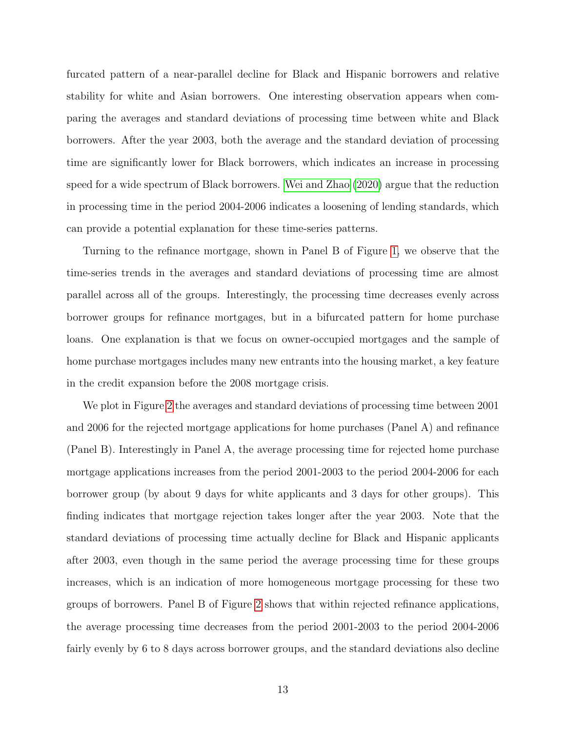furcated pattern of a near-parallel decline for Black and Hispanic borrowers and relative stability for white and Asian borrowers. One interesting observation appears when comparing the averages and standard deviations of processing time between white and Black borrowers. After the year 2003, both the average and the standard deviation of processing time are significantly lower for Black borrowers, which indicates an increase in processing speed for a wide spectrum of Black borrowers. [Wei and Zhao](#page-38-0) [\(2020\)](#page-38-0) argue that the reduction in processing time in the period 2004-2006 indicates a loosening of lending standards, which can provide a potential explanation for these time-series patterns.

Turning to the refinance mortgage, shown in Panel B of Figure [1,](#page-39-0) we observe that the time-series trends in the averages and standard deviations of processing time are almost parallel across all of the groups. Interestingly, the processing time decreases evenly across borrower groups for refinance mortgages, but in a bifurcated pattern for home purchase loans. One explanation is that we focus on owner-occupied mortgages and the sample of home purchase mortgages includes many new entrants into the housing market, a key feature in the credit expansion before the 2008 mortgage crisis.

We plot in Figure [2](#page-40-0) the averages and standard deviations of processing time between 2001 and 2006 for the rejected mortgage applications for home purchases (Panel A) and refinance (Panel B). Interestingly in Panel A, the average processing time for rejected home purchase mortgage applications increases from the period 2001-2003 to the period 2004-2006 for each borrower group (by about 9 days for white applicants and 3 days for other groups). This finding indicates that mortgage rejection takes longer after the year 2003. Note that the standard deviations of processing time actually decline for Black and Hispanic applicants after 2003, even though in the same period the average processing time for these groups increases, which is an indication of more homogeneous mortgage processing for these two groups of borrowers. Panel B of Figure [2](#page-40-0) shows that within rejected refinance applications, the average processing time decreases from the period 2001-2003 to the period 2004-2006 fairly evenly by 6 to 8 days across borrower groups, and the standard deviations also decline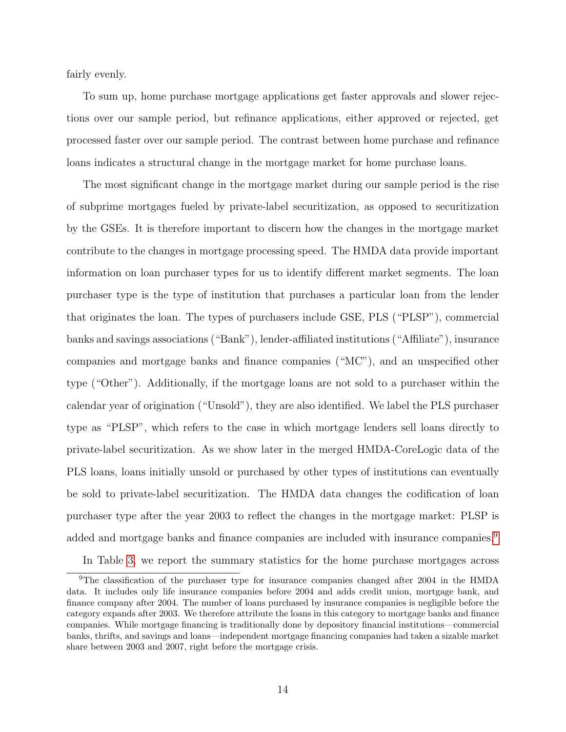fairly evenly.

To sum up, home purchase mortgage applications get faster approvals and slower rejections over our sample period, but refinance applications, either approved or rejected, get processed faster over our sample period. The contrast between home purchase and refinance loans indicates a structural change in the mortgage market for home purchase loans.

The most significant change in the mortgage market during our sample period is the rise of subprime mortgages fueled by private-label securitization, as opposed to securitization by the GSEs. It is therefore important to discern how the changes in the mortgage market contribute to the changes in mortgage processing speed. The HMDA data provide important information on loan purchaser types for us to identify different market segments. The loan purchaser type is the type of institution that purchases a particular loan from the lender that originates the loan. The types of purchasers include GSE, PLS ("PLSP"), commercial banks and savings associations ("Bank"), lender-affiliated institutions ("Affiliate"), insurance companies and mortgage banks and finance companies ("MC"), and an unspecified other type ("Other"). Additionally, if the mortgage loans are not sold to a purchaser within the calendar year of origination ("Unsold"), they are also identified. We label the PLS purchaser type as "PLSP", which refers to the case in which mortgage lenders sell loans directly to private-label securitization. As we show later in the merged HMDA-CoreLogic data of the PLS loans, loans initially unsold or purchased by other types of institutions can eventually be sold to private-label securitization. The HMDA data changes the codification of loan purchaser type after the year 2003 to reflect the changes in the mortgage market: PLSP is added and mortgage banks and finance companies are included with insurance companies.<sup>[9](#page-14-0)</sup>

<span id="page-14-0"></span>In Table [3,](#page-45-0) we report the summary statistics for the home purchase mortgages across

<sup>&</sup>lt;sup>9</sup>The classification of the purchaser type for insurance companies changed after 2004 in the HMDA data. It includes only life insurance companies before 2004 and adds credit union, mortgage bank, and finance company after 2004. The number of loans purchased by insurance companies is negligible before the category expands after 2003. We therefore attribute the loans in this category to mortgage banks and finance companies. While mortgage financing is traditionally done by depository financial institutions—commercial banks, thrifts, and savings and loans—independent mortgage financing companies had taken a sizable market share between 2003 and 2007, right before the mortgage crisis.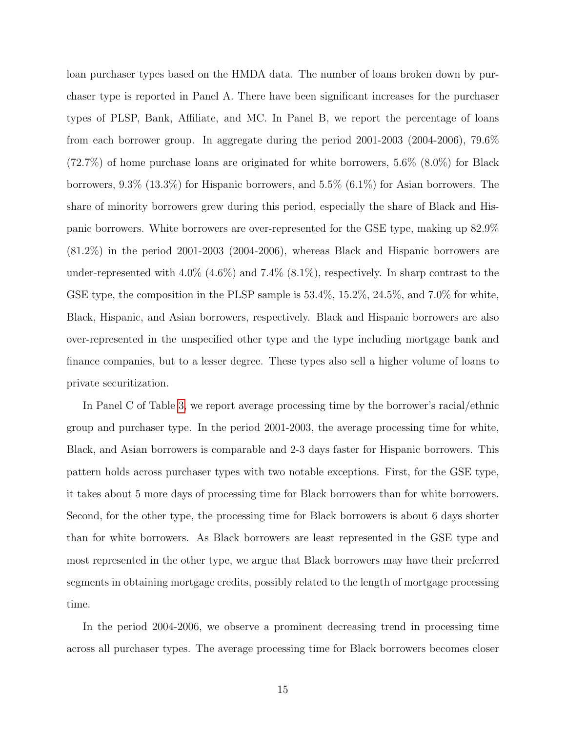loan purchaser types based on the HMDA data. The number of loans broken down by purchaser type is reported in Panel A. There have been significant increases for the purchaser types of PLSP, Bank, Affiliate, and MC. In Panel B, we report the percentage of loans from each borrower group. In aggregate during the period 2001-2003 (2004-2006), 79.6%  $(72.7\%)$  of home purchase loans are originated for white borrowers, 5.6%  $(8.0\%)$  for Black borrowers, 9.3% (13.3%) for Hispanic borrowers, and 5.5% (6.1%) for Asian borrowers. The share of minority borrowers grew during this period, especially the share of Black and Hispanic borrowers. White borrowers are over-represented for the GSE type, making up 82.9% (81.2%) in the period 2001-2003 (2004-2006), whereas Black and Hispanic borrowers are under-represented with  $4.0\%$  ( $4.6\%$ ) and  $7.4\%$  ( $8.1\%$ ), respectively. In sharp contrast to the GSE type, the composition in the PLSP sample is 53.4%, 15.2%, 24.5%, and 7.0% for white, Black, Hispanic, and Asian borrowers, respectively. Black and Hispanic borrowers are also over-represented in the unspecified other type and the type including mortgage bank and finance companies, but to a lesser degree. These types also sell a higher volume of loans to private securitization.

In Panel C of Table [3,](#page-45-0) we report average processing time by the borrower's racial/ethnic group and purchaser type. In the period 2001-2003, the average processing time for white, Black, and Asian borrowers is comparable and 2-3 days faster for Hispanic borrowers. This pattern holds across purchaser types with two notable exceptions. First, for the GSE type, it takes about 5 more days of processing time for Black borrowers than for white borrowers. Second, for the other type, the processing time for Black borrowers is about 6 days shorter than for white borrowers. As Black borrowers are least represented in the GSE type and most represented in the other type, we argue that Black borrowers may have their preferred segments in obtaining mortgage credits, possibly related to the length of mortgage processing time.

In the period 2004-2006, we observe a prominent decreasing trend in processing time across all purchaser types. The average processing time for Black borrowers becomes closer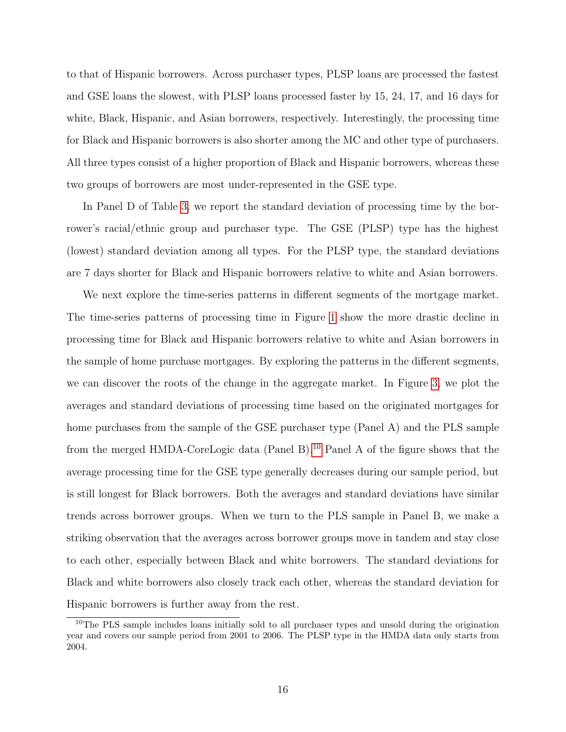to that of Hispanic borrowers. Across purchaser types, PLSP loans are processed the fastest and GSE loans the slowest, with PLSP loans processed faster by 15, 24, 17, and 16 days for white, Black, Hispanic, and Asian borrowers, respectively. Interestingly, the processing time for Black and Hispanic borrowers is also shorter among the MC and other type of purchasers. All three types consist of a higher proportion of Black and Hispanic borrowers, whereas these two groups of borrowers are most under-represented in the GSE type.

In Panel D of Table [3,](#page-45-0) we report the standard deviation of processing time by the borrower's racial/ethnic group and purchaser type. The GSE (PLSP) type has the highest (lowest) standard deviation among all types. For the PLSP type, the standard deviations are 7 days shorter for Black and Hispanic borrowers relative to white and Asian borrowers.

We next explore the time-series patterns in different segments of the mortgage market. The time-series patterns of processing time in Figure [1](#page-39-0) show the more drastic decline in processing time for Black and Hispanic borrowers relative to white and Asian borrowers in the sample of home purchase mortgages. By exploring the patterns in the different segments, we can discover the roots of the change in the aggregate market. In Figure [3,](#page-41-0) we plot the averages and standard deviations of processing time based on the originated mortgages for home purchases from the sample of the GSE purchaser type (Panel A) and the PLS sample from the merged HMDA-CoreLogic data (Panel B).[10](#page-16-0) Panel A of the figure shows that the average processing time for the GSE type generally decreases during our sample period, but is still longest for Black borrowers. Both the averages and standard deviations have similar trends across borrower groups. When we turn to the PLS sample in Panel B, we make a striking observation that the averages across borrower groups move in tandem and stay close to each other, especially between Black and white borrowers. The standard deviations for Black and white borrowers also closely track each other, whereas the standard deviation for Hispanic borrowers is further away from the rest.

<span id="page-16-0"></span><sup>10</sup>The PLS sample includes loans initially sold to all purchaser types and unsold during the origination year and covers our sample period from 2001 to 2006. The PLSP type in the HMDA data only starts from 2004.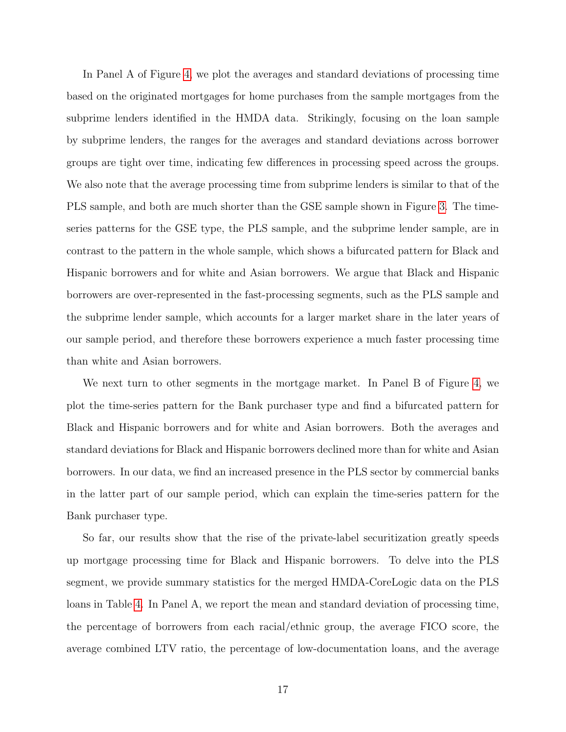In Panel A of Figure [4,](#page-42-0) we plot the averages and standard deviations of processing time based on the originated mortgages for home purchases from the sample mortgages from the subprime lenders identified in the HMDA data. Strikingly, focusing on the loan sample by subprime lenders, the ranges for the averages and standard deviations across borrower groups are tight over time, indicating few differences in processing speed across the groups. We also note that the average processing time from subprime lenders is similar to that of the PLS sample, and both are much shorter than the GSE sample shown in Figure [3.](#page-41-0) The timeseries patterns for the GSE type, the PLS sample, and the subprime lender sample, are in contrast to the pattern in the whole sample, which shows a bifurcated pattern for Black and Hispanic borrowers and for white and Asian borrowers. We argue that Black and Hispanic borrowers are over-represented in the fast-processing segments, such as the PLS sample and the subprime lender sample, which accounts for a larger market share in the later years of our sample period, and therefore these borrowers experience a much faster processing time than white and Asian borrowers.

We next turn to other segments in the mortgage market. In Panel B of Figure [4,](#page-42-0) we plot the time-series pattern for the Bank purchaser type and find a bifurcated pattern for Black and Hispanic borrowers and for white and Asian borrowers. Both the averages and standard deviations for Black and Hispanic borrowers declined more than for white and Asian borrowers. In our data, we find an increased presence in the PLS sector by commercial banks in the latter part of our sample period, which can explain the time-series pattern for the Bank purchaser type.

So far, our results show that the rise of the private-label securitization greatly speeds up mortgage processing time for Black and Hispanic borrowers. To delve into the PLS segment, we provide summary statistics for the merged HMDA-CoreLogic data on the PLS loans in Table [4.](#page-46-0) In Panel A, we report the mean and standard deviation of processing time, the percentage of borrowers from each racial/ethnic group, the average FICO score, the average combined LTV ratio, the percentage of low-documentation loans, and the average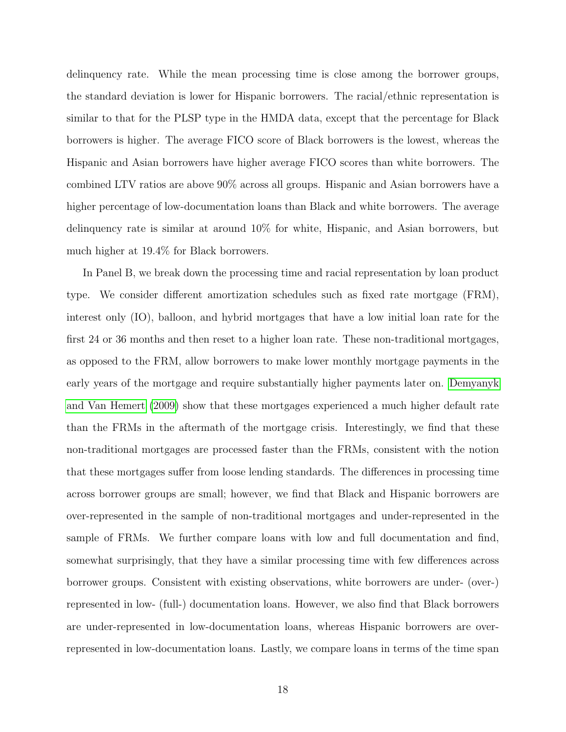delinquency rate. While the mean processing time is close among the borrower groups, the standard deviation is lower for Hispanic borrowers. The racial/ethnic representation is similar to that for the PLSP type in the HMDA data, except that the percentage for Black borrowers is higher. The average FICO score of Black borrowers is the lowest, whereas the Hispanic and Asian borrowers have higher average FICO scores than white borrowers. The combined LTV ratios are above 90% across all groups. Hispanic and Asian borrowers have a higher percentage of low-documentation loans than Black and white borrowers. The average delinquency rate is similar at around 10% for white, Hispanic, and Asian borrowers, but much higher at 19.4% for Black borrowers.

In Panel B, we break down the processing time and racial representation by loan product type. We consider different amortization schedules such as fixed rate mortgage (FRM), interest only (IO), balloon, and hybrid mortgages that have a low initial loan rate for the first 24 or 36 months and then reset to a higher loan rate. These non-traditional mortgages, as opposed to the FRM, allow borrowers to make lower monthly mortgage payments in the early years of the mortgage and require substantially higher payments later on. [Demyanyk](#page-36-14) [and Van Hemert](#page-36-14) [\(2009\)](#page-36-14) show that these mortgages experienced a much higher default rate than the FRMs in the aftermath of the mortgage crisis. Interestingly, we find that these non-traditional mortgages are processed faster than the FRMs, consistent with the notion that these mortgages suffer from loose lending standards. The differences in processing time across borrower groups are small; however, we find that Black and Hispanic borrowers are over-represented in the sample of non-traditional mortgages and under-represented in the sample of FRMs. We further compare loans with low and full documentation and find, somewhat surprisingly, that they have a similar processing time with few differences across borrower groups. Consistent with existing observations, white borrowers are under- (over-) represented in low- (full-) documentation loans. However, we also find that Black borrowers are under-represented in low-documentation loans, whereas Hispanic borrowers are overrepresented in low-documentation loans. Lastly, we compare loans in terms of the time span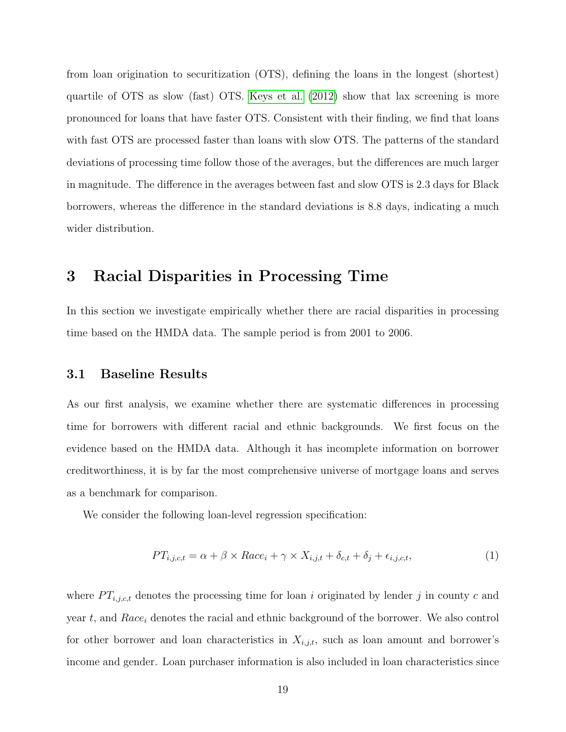from loan origination to securitization (OTS), defining the loans in the longest (shortest) quartile of OTS as slow (fast) OTS. [Keys et al.](#page-37-1) [\(2012\)](#page-37-1) show that lax screening is more pronounced for loans that have faster OTS. Consistent with their finding, we find that loans with fast OTS are processed faster than loans with slow OTS. The patterns of the standard deviations of processing time follow those of the averages, but the differences are much larger in magnitude. The difference in the averages between fast and slow OTS is 2.3 days for Black borrowers, whereas the difference in the standard deviations is 8.8 days, indicating a much wider distribution.

## <span id="page-19-0"></span>3 Racial Disparities in Processing Time

In this section we investigate empirically whether there are racial disparities in processing time based on the HMDA data. The sample period is from 2001 to 2006.

#### 3.1 Baseline Results

As our first analysis, we examine whether there are systematic differences in processing time for borrowers with different racial and ethnic backgrounds. We first focus on the evidence based on the HMDA data. Although it has incomplete information on borrower creditworthiness, it is by far the most comprehensive universe of mortgage loans and serves as a benchmark for comparison.

We consider the following loan-level regression specification:

<span id="page-19-1"></span>
$$
PT_{i,j,c,t} = \alpha + \beta \times Race_i + \gamma \times X_{i,j,t} + \delta_{c,t} + \delta_j + \epsilon_{i,j,c,t},\tag{1}
$$

where  $PT_{i,j,c,t}$  denotes the processing time for loan i originated by lender j in county c and year t, and  $Race_i$  denotes the racial and ethnic background of the borrower. We also control for other borrower and loan characteristics in  $X_{i,j,t}$ , such as loan amount and borrower's income and gender. Loan purchaser information is also included in loan characteristics since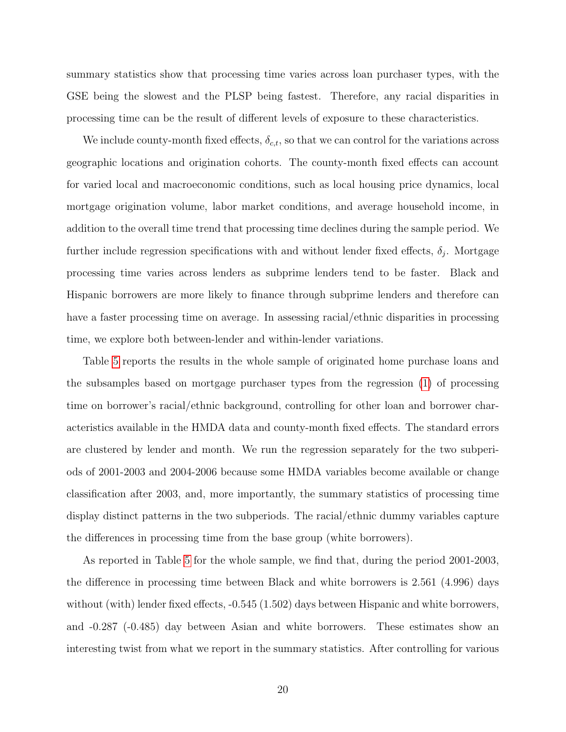summary statistics show that processing time varies across loan purchaser types, with the GSE being the slowest and the PLSP being fastest. Therefore, any racial disparities in processing time can be the result of different levels of exposure to these characteristics.

We include county-month fixed effects,  $\delta_{c,t}$ , so that we can control for the variations across geographic locations and origination cohorts. The county-month fixed effects can account for varied local and macroeconomic conditions, such as local housing price dynamics, local mortgage origination volume, labor market conditions, and average household income, in addition to the overall time trend that processing time declines during the sample period. We further include regression specifications with and without lender fixed effects,  $\delta_j$ . Mortgage processing time varies across lenders as subprime lenders tend to be faster. Black and Hispanic borrowers are more likely to finance through subprime lenders and therefore can have a faster processing time on average. In assessing racial/ethnic disparities in processing time, we explore both between-lender and within-lender variations.

Table [5](#page-47-0) reports the results in the whole sample of originated home purchase loans and the subsamples based on mortgage purchaser types from the regression [\(1\)](#page-19-1) of processing time on borrower's racial/ethnic background, controlling for other loan and borrower characteristics available in the HMDA data and county-month fixed effects. The standard errors are clustered by lender and month. We run the regression separately for the two subperiods of 2001-2003 and 2004-2006 because some HMDA variables become available or change classification after 2003, and, more importantly, the summary statistics of processing time display distinct patterns in the two subperiods. The racial/ethnic dummy variables capture the differences in processing time from the base group (white borrowers).

As reported in Table [5](#page-47-0) for the whole sample, we find that, during the period 2001-2003, the difference in processing time between Black and white borrowers is 2.561 (4.996) days without (with) lender fixed effects,  $-0.545$  (1.502) days between Hispanic and white borrowers, and -0.287 (-0.485) day between Asian and white borrowers. These estimates show an interesting twist from what we report in the summary statistics. After controlling for various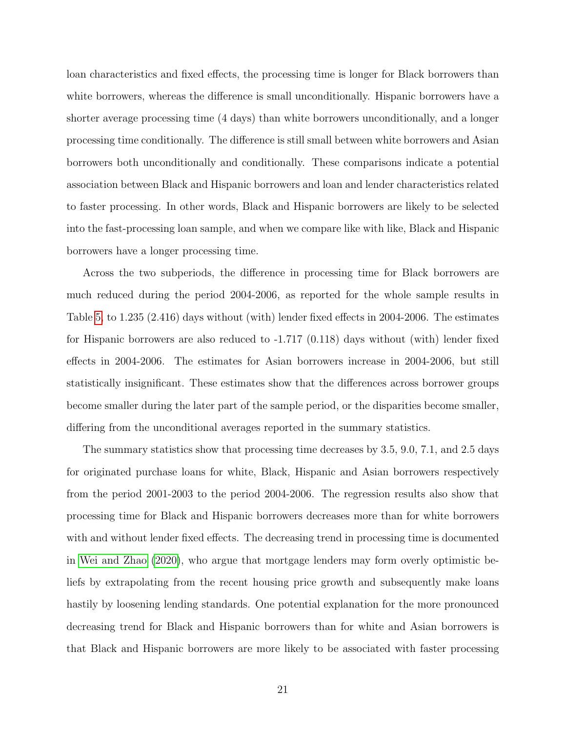loan characteristics and fixed effects, the processing time is longer for Black borrowers than white borrowers, whereas the difference is small unconditionally. Hispanic borrowers have a shorter average processing time (4 days) than white borrowers unconditionally, and a longer processing time conditionally. The difference is still small between white borrowers and Asian borrowers both unconditionally and conditionally. These comparisons indicate a potential association between Black and Hispanic borrowers and loan and lender characteristics related to faster processing. In other words, Black and Hispanic borrowers are likely to be selected into the fast-processing loan sample, and when we compare like with like, Black and Hispanic borrowers have a longer processing time.

Across the two subperiods, the difference in processing time for Black borrowers are much reduced during the period 2004-2006, as reported for the whole sample results in Table [5,](#page-47-0) to 1.235 (2.416) days without (with) lender fixed effects in 2004-2006. The estimates for Hispanic borrowers are also reduced to -1.717 (0.118) days without (with) lender fixed effects in 2004-2006. The estimates for Asian borrowers increase in 2004-2006, but still statistically insignificant. These estimates show that the differences across borrower groups become smaller during the later part of the sample period, or the disparities become smaller, differing from the unconditional averages reported in the summary statistics.

The summary statistics show that processing time decreases by 3.5, 9.0, 7.1, and 2.5 days for originated purchase loans for white, Black, Hispanic and Asian borrowers respectively from the period 2001-2003 to the period 2004-2006. The regression results also show that processing time for Black and Hispanic borrowers decreases more than for white borrowers with and without lender fixed effects. The decreasing trend in processing time is documented in [Wei and Zhao](#page-38-0) [\(2020\)](#page-38-0), who argue that mortgage lenders may form overly optimistic beliefs by extrapolating from the recent housing price growth and subsequently make loans hastily by loosening lending standards. One potential explanation for the more pronounced decreasing trend for Black and Hispanic borrowers than for white and Asian borrowers is that Black and Hispanic borrowers are more likely to be associated with faster processing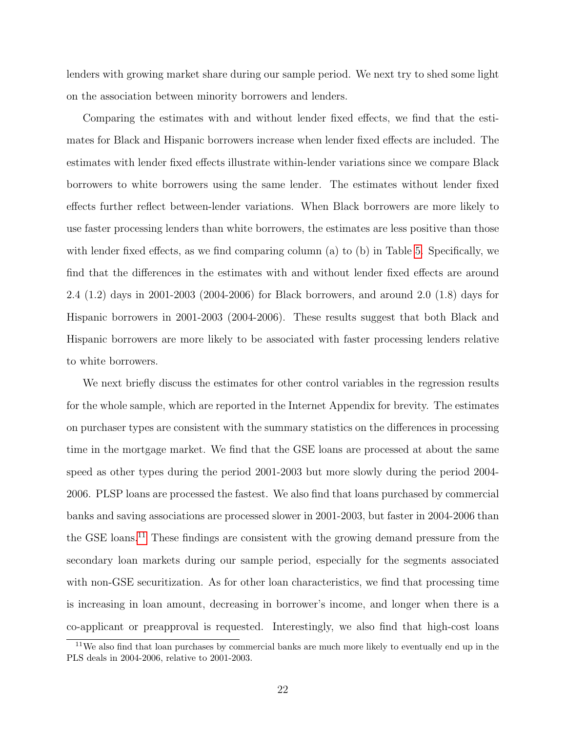lenders with growing market share during our sample period. We next try to shed some light on the association between minority borrowers and lenders.

Comparing the estimates with and without lender fixed effects, we find that the estimates for Black and Hispanic borrowers increase when lender fixed effects are included. The estimates with lender fixed effects illustrate within-lender variations since we compare Black borrowers to white borrowers using the same lender. The estimates without lender fixed effects further reflect between-lender variations. When Black borrowers are more likely to use faster processing lenders than white borrowers, the estimates are less positive than those with lender fixed effects, as we find comparing column (a) to (b) in Table [5.](#page-47-0) Specifically, we find that the differences in the estimates with and without lender fixed effects are around 2.4 (1.2) days in 2001-2003 (2004-2006) for Black borrowers, and around 2.0 (1.8) days for Hispanic borrowers in 2001-2003 (2004-2006). These results suggest that both Black and Hispanic borrowers are more likely to be associated with faster processing lenders relative to white borrowers.

We next briefly discuss the estimates for other control variables in the regression results for the whole sample, which are reported in the Internet Appendix for brevity. The estimates on purchaser types are consistent with the summary statistics on the differences in processing time in the mortgage market. We find that the GSE loans are processed at about the same speed as other types during the period 2001-2003 but more slowly during the period 2004- 2006. PLSP loans are processed the fastest. We also find that loans purchased by commercial banks and saving associations are processed slower in 2001-2003, but faster in 2004-2006 than the GSE loans.[11](#page-22-0) These findings are consistent with the growing demand pressure from the secondary loan markets during our sample period, especially for the segments associated with non-GSE securitization. As for other loan characteristics, we find that processing time is increasing in loan amount, decreasing in borrower's income, and longer when there is a co-applicant or preapproval is requested. Interestingly, we also find that high-cost loans

<span id="page-22-0"></span><sup>&</sup>lt;sup>11</sup>We also find that loan purchases by commercial banks are much more likely to eventually end up in the PLS deals in 2004-2006, relative to 2001-2003.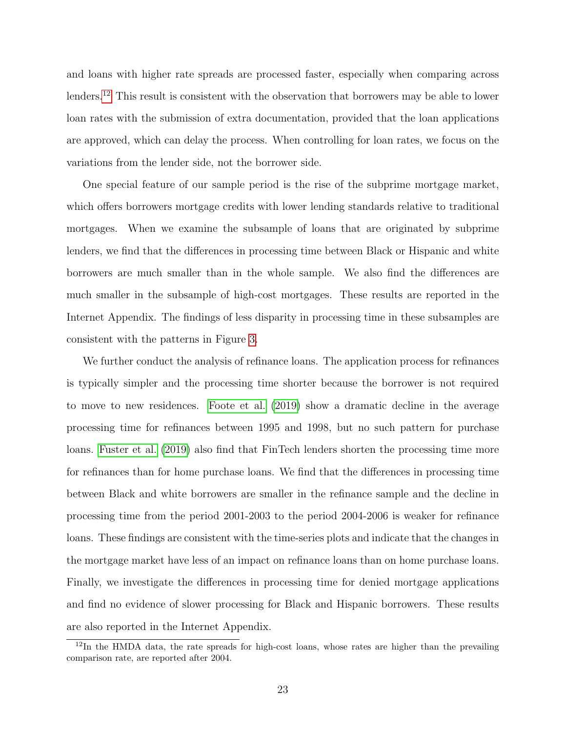and loans with higher rate spreads are processed faster, especially when comparing across lenders.<sup>[12](#page-23-0)</sup> This result is consistent with the observation that borrowers may be able to lower loan rates with the submission of extra documentation, provided that the loan applications are approved, which can delay the process. When controlling for loan rates, we focus on the variations from the lender side, not the borrower side.

One special feature of our sample period is the rise of the subprime mortgage market, which offers borrowers mortgage credits with lower lending standards relative to traditional mortgages. When we examine the subsample of loans that are originated by subprime lenders, we find that the differences in processing time between Black or Hispanic and white borrowers are much smaller than in the whole sample. We also find the differences are much smaller in the subsample of high-cost mortgages. These results are reported in the Internet Appendix. The findings of less disparity in processing time in these subsamples are consistent with the patterns in Figure [3.](#page-41-0)

We further conduct the analysis of refinance loans. The application process for refinances is typically simpler and the processing time shorter because the borrower is not required to move to new residences. [Foote et al.](#page-36-0) [\(2019\)](#page-36-0) show a dramatic decline in the average processing time for refinances between 1995 and 1998, but no such pattern for purchase loans. [Fuster et al.](#page-36-1) [\(2019\)](#page-36-1) also find that FinTech lenders shorten the processing time more for refinances than for home purchase loans. We find that the differences in processing time between Black and white borrowers are smaller in the refinance sample and the decline in processing time from the period 2001-2003 to the period 2004-2006 is weaker for refinance loans. These findings are consistent with the time-series plots and indicate that the changes in the mortgage market have less of an impact on refinance loans than on home purchase loans. Finally, we investigate the differences in processing time for denied mortgage applications and find no evidence of slower processing for Black and Hispanic borrowers. These results are also reported in the Internet Appendix.

<span id="page-23-0"></span> $12$ In the HMDA data, the rate spreads for high-cost loans, whose rates are higher than the prevailing comparison rate, are reported after 2004.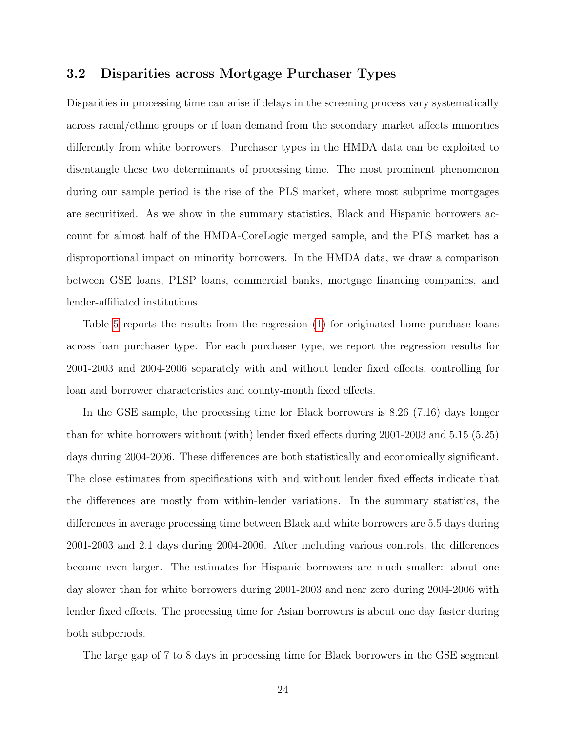#### 3.2 Disparities across Mortgage Purchaser Types

Disparities in processing time can arise if delays in the screening process vary systematically across racial/ethnic groups or if loan demand from the secondary market affects minorities differently from white borrowers. Purchaser types in the HMDA data can be exploited to disentangle these two determinants of processing time. The most prominent phenomenon during our sample period is the rise of the PLS market, where most subprime mortgages are securitized. As we show in the summary statistics, Black and Hispanic borrowers account for almost half of the HMDA-CoreLogic merged sample, and the PLS market has a disproportional impact on minority borrowers. In the HMDA data, we draw a comparison between GSE loans, PLSP loans, commercial banks, mortgage financing companies, and lender-affiliated institutions.

Table [5](#page-47-0) reports the results from the regression [\(1\)](#page-19-1) for originated home purchase loans across loan purchaser type. For each purchaser type, we report the regression results for 2001-2003 and 2004-2006 separately with and without lender fixed effects, controlling for loan and borrower characteristics and county-month fixed effects.

In the GSE sample, the processing time for Black borrowers is 8.26 (7.16) days longer than for white borrowers without (with) lender fixed effects during 2001-2003 and 5.15 (5.25) days during 2004-2006. These differences are both statistically and economically significant. The close estimates from specifications with and without lender fixed effects indicate that the differences are mostly from within-lender variations. In the summary statistics, the differences in average processing time between Black and white borrowers are 5.5 days during 2001-2003 and 2.1 days during 2004-2006. After including various controls, the differences become even larger. The estimates for Hispanic borrowers are much smaller: about one day slower than for white borrowers during 2001-2003 and near zero during 2004-2006 with lender fixed effects. The processing time for Asian borrowers is about one day faster during both subperiods.

The large gap of 7 to 8 days in processing time for Black borrowers in the GSE segment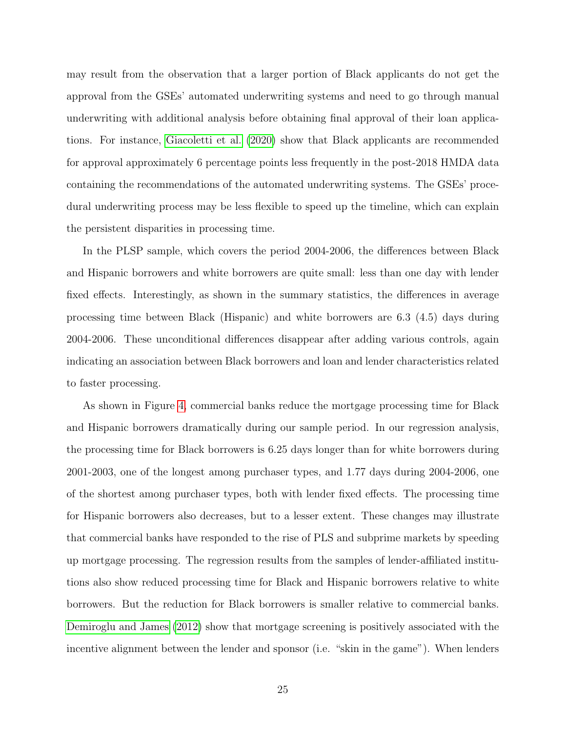may result from the observation that a larger portion of Black applicants do not get the approval from the GSEs' automated underwriting systems and need to go through manual underwriting with additional analysis before obtaining final approval of their loan applications. For instance, [Giacoletti et al.](#page-36-3) [\(2020\)](#page-36-3) show that Black applicants are recommended for approval approximately 6 percentage points less frequently in the post-2018 HMDA data containing the recommendations of the automated underwriting systems. The GSEs' procedural underwriting process may be less flexible to speed up the timeline, which can explain the persistent disparities in processing time.

In the PLSP sample, which covers the period 2004-2006, the differences between Black and Hispanic borrowers and white borrowers are quite small: less than one day with lender fixed effects. Interestingly, as shown in the summary statistics, the differences in average processing time between Black (Hispanic) and white borrowers are 6.3 (4.5) days during 2004-2006. These unconditional differences disappear after adding various controls, again indicating an association between Black borrowers and loan and lender characteristics related to faster processing.

As shown in Figure [4,](#page-42-0) commercial banks reduce the mortgage processing time for Black and Hispanic borrowers dramatically during our sample period. In our regression analysis, the processing time for Black borrowers is 6.25 days longer than for white borrowers during 2001-2003, one of the longest among purchaser types, and 1.77 days during 2004-2006, one of the shortest among purchaser types, both with lender fixed effects. The processing time for Hispanic borrowers also decreases, but to a lesser extent. These changes may illustrate that commercial banks have responded to the rise of PLS and subprime markets by speeding up mortgage processing. The regression results from the samples of lender-affiliated institutions also show reduced processing time for Black and Hispanic borrowers relative to white borrowers. But the reduction for Black borrowers is smaller relative to commercial banks. [Demiroglu and James](#page-36-13) [\(2012\)](#page-36-13) show that mortgage screening is positively associated with the incentive alignment between the lender and sponsor (i.e. "skin in the game"). When lenders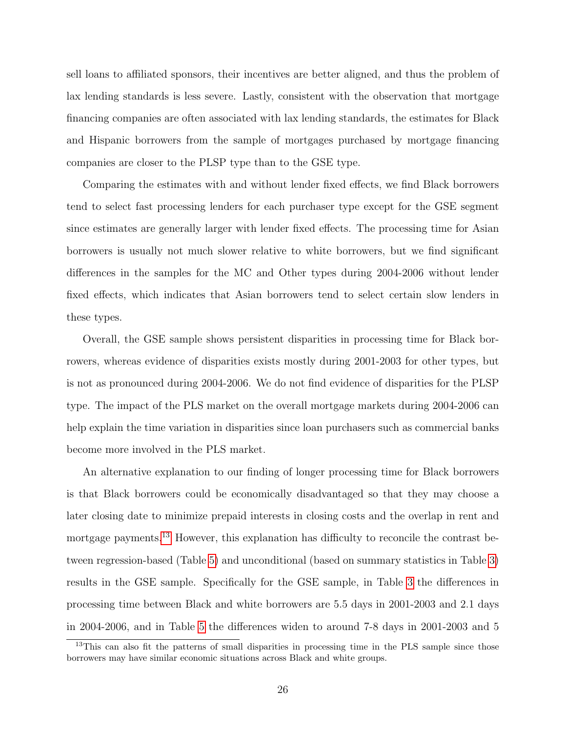sell loans to affiliated sponsors, their incentives are better aligned, and thus the problem of lax lending standards is less severe. Lastly, consistent with the observation that mortgage financing companies are often associated with lax lending standards, the estimates for Black and Hispanic borrowers from the sample of mortgages purchased by mortgage financing companies are closer to the PLSP type than to the GSE type.

Comparing the estimates with and without lender fixed effects, we find Black borrowers tend to select fast processing lenders for each purchaser type except for the GSE segment since estimates are generally larger with lender fixed effects. The processing time for Asian borrowers is usually not much slower relative to white borrowers, but we find significant differences in the samples for the MC and Other types during 2004-2006 without lender fixed effects, which indicates that Asian borrowers tend to select certain slow lenders in these types.

Overall, the GSE sample shows persistent disparities in processing time for Black borrowers, whereas evidence of disparities exists mostly during 2001-2003 for other types, but is not as pronounced during 2004-2006. We do not find evidence of disparities for the PLSP type. The impact of the PLS market on the overall mortgage markets during 2004-2006 can help explain the time variation in disparities since loan purchasers such as commercial banks become more involved in the PLS market.

An alternative explanation to our finding of longer processing time for Black borrowers is that Black borrowers could be economically disadvantaged so that they may choose a later closing date to minimize prepaid interests in closing costs and the overlap in rent and mortgage payments.<sup>[13](#page-26-0)</sup> However, this explanation has difficulty to reconcile the contrast between regression-based (Table [5\)](#page-47-0) and unconditional (based on summary statistics in Table [3\)](#page-45-0) results in the GSE sample. Specifically for the GSE sample, in Table [3](#page-45-0) the differences in processing time between Black and white borrowers are 5.5 days in 2001-2003 and 2.1 days in 2004-2006, and in Table [5](#page-47-0) the differences widen to around 7-8 days in 2001-2003 and 5

<span id="page-26-0"></span><sup>&</sup>lt;sup>13</sup>This can also fit the patterns of small disparities in processing time in the PLS sample since those borrowers may have similar economic situations across Black and white groups.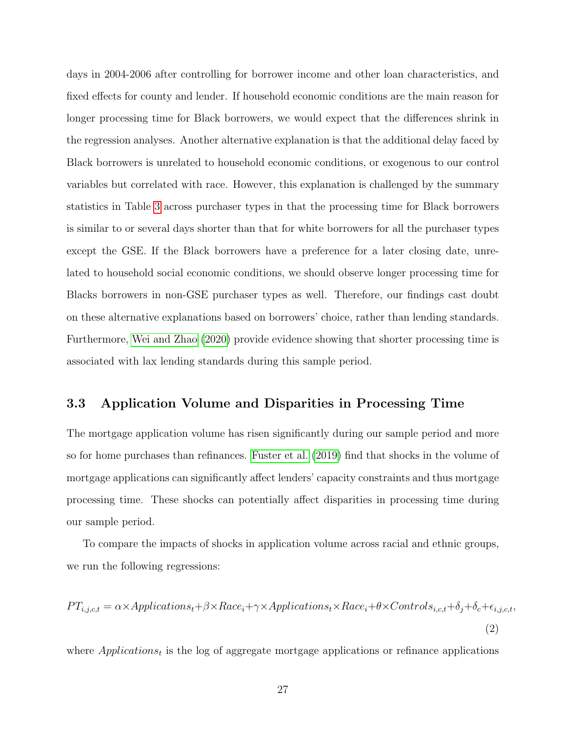days in 2004-2006 after controlling for borrower income and other loan characteristics, and fixed effects for county and lender. If household economic conditions are the main reason for longer processing time for Black borrowers, we would expect that the differences shrink in the regression analyses. Another alternative explanation is that the additional delay faced by Black borrowers is unrelated to household economic conditions, or exogenous to our control variables but correlated with race. However, this explanation is challenged by the summary statistics in Table [3](#page-45-0) across purchaser types in that the processing time for Black borrowers is similar to or several days shorter than that for white borrowers for all the purchaser types except the GSE. If the Black borrowers have a preference for a later closing date, unrelated to household social economic conditions, we should observe longer processing time for Blacks borrowers in non-GSE purchaser types as well. Therefore, our findings cast doubt on these alternative explanations based on borrowers' choice, rather than lending standards. Furthermore, [Wei and Zhao](#page-38-0) [\(2020\)](#page-38-0) provide evidence showing that shorter processing time is associated with lax lending standards during this sample period.

#### 3.3 Application Volume and Disparities in Processing Time

The mortgage application volume has risen significantly during our sample period and more so for home purchases than refinances. [Fuster et al.](#page-36-1) [\(2019\)](#page-36-1) find that shocks in the volume of mortgage applications can significantly affect lenders' capacity constraints and thus mortgage processing time. These shocks can potentially affect disparities in processing time during our sample period.

To compare the impacts of shocks in application volume across racial and ethnic groups, we run the following regressions:

<span id="page-27-0"></span>
$$
PT_{i,j,c,t} = \alpha \times Applications_t + \beta \times Race_i + \gamma \times Applications_t \times Race_i + \theta \times Controls_{i,c,t} + \delta_j + \delta_c + \epsilon_{i,j,c,t},
$$
\n
$$
(2)
$$

where  $Applications_t$  is the log of aggregate mortgage applications or refinance applications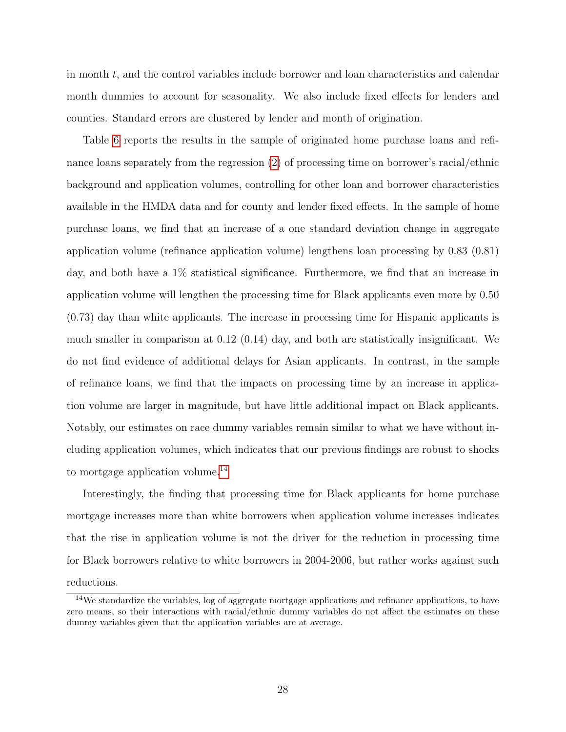in month t, and the control variables include borrower and loan characteristics and calendar month dummies to account for seasonality. We also include fixed effects for lenders and counties. Standard errors are clustered by lender and month of origination.

Table [6](#page-48-0) reports the results in the sample of originated home purchase loans and refinance loans separately from the regression [\(2\)](#page-27-0) of processing time on borrower's racial/ethnic background and application volumes, controlling for other loan and borrower characteristics available in the HMDA data and for county and lender fixed effects. In the sample of home purchase loans, we find that an increase of a one standard deviation change in aggregate application volume (refinance application volume) lengthens loan processing by 0.83 (0.81) day, and both have a 1% statistical significance. Furthermore, we find that an increase in application volume will lengthen the processing time for Black applicants even more by 0.50 (0.73) day than white applicants. The increase in processing time for Hispanic applicants is much smaller in comparison at 0.12 (0.14) day, and both are statistically insignificant. We do not find evidence of additional delays for Asian applicants. In contrast, in the sample of refinance loans, we find that the impacts on processing time by an increase in application volume are larger in magnitude, but have little additional impact on Black applicants. Notably, our estimates on race dummy variables remain similar to what we have without including application volumes, which indicates that our previous findings are robust to shocks to mortgage application volume.<sup>[14](#page-28-0)</sup>

Interestingly, the finding that processing time for Black applicants for home purchase mortgage increases more than white borrowers when application volume increases indicates that the rise in application volume is not the driver for the reduction in processing time for Black borrowers relative to white borrowers in 2004-2006, but rather works against such reductions.

<span id="page-28-0"></span><sup>14</sup>We standardize the variables, log of aggregate mortgage applications and refinance applications, to have zero means, so their interactions with racial/ethnic dummy variables do not affect the estimates on these dummy variables given that the application variables are at average.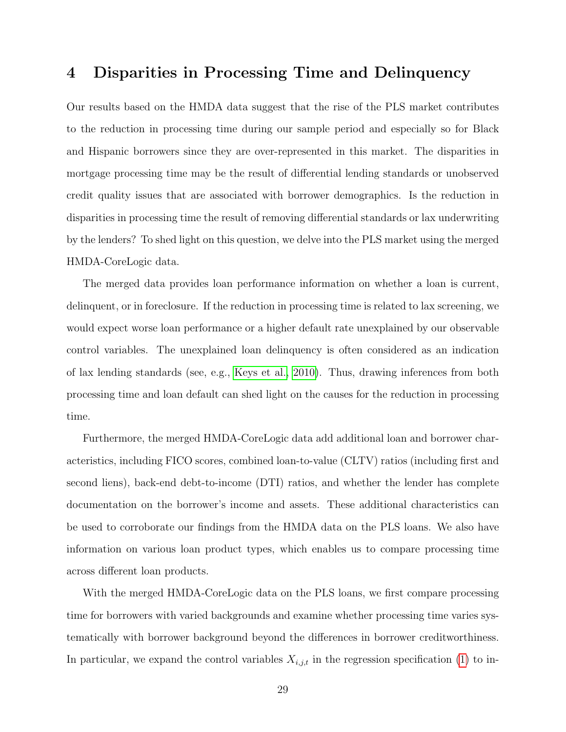## <span id="page-29-0"></span>4 Disparities in Processing Time and Delinquency

Our results based on the HMDA data suggest that the rise of the PLS market contributes to the reduction in processing time during our sample period and especially so for Black and Hispanic borrowers since they are over-represented in this market. The disparities in mortgage processing time may be the result of differential lending standards or unobserved credit quality issues that are associated with borrower demographics. Is the reduction in disparities in processing time the result of removing differential standards or lax underwriting by the lenders? To shed light on this question, we delve into the PLS market using the merged HMDA-CoreLogic data.

The merged data provides loan performance information on whether a loan is current, delinquent, or in foreclosure. If the reduction in processing time is related to lax screening, we would expect worse loan performance or a higher default rate unexplained by our observable control variables. The unexplained loan delinquency is often considered as an indication of lax lending standards (see, e.g., [Keys et al., 2010\)](#page-37-0). Thus, drawing inferences from both processing time and loan default can shed light on the causes for the reduction in processing time.

Furthermore, the merged HMDA-CoreLogic data add additional loan and borrower characteristics, including FICO scores, combined loan-to-value (CLTV) ratios (including first and second liens), back-end debt-to-income (DTI) ratios, and whether the lender has complete documentation on the borrower's income and assets. These additional characteristics can be used to corroborate our findings from the HMDA data on the PLS loans. We also have information on various loan product types, which enables us to compare processing time across different loan products.

With the merged HMDA-CoreLogic data on the PLS loans, we first compare processing time for borrowers with varied backgrounds and examine whether processing time varies systematically with borrower background beyond the differences in borrower creditworthiness. In particular, we expand the control variables  $X_{i,j,t}$  in the regression specification [\(1\)](#page-19-1) to in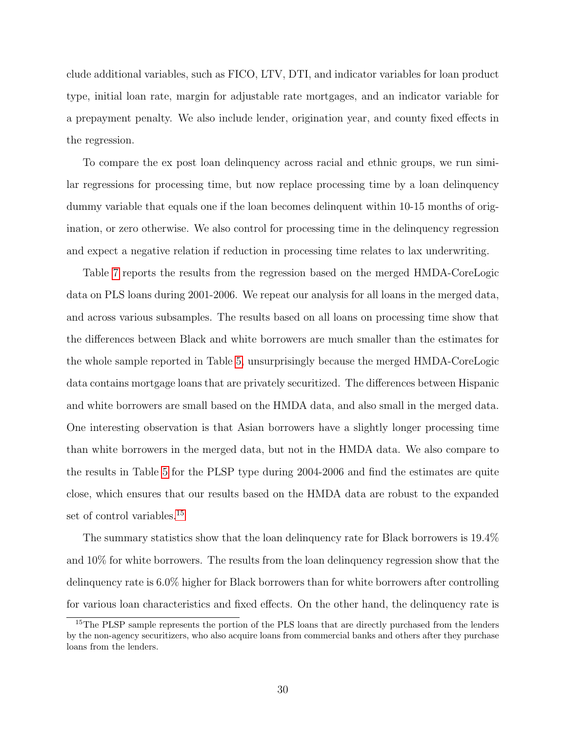clude additional variables, such as FICO, LTV, DTI, and indicator variables for loan product type, initial loan rate, margin for adjustable rate mortgages, and an indicator variable for a prepayment penalty. We also include lender, origination year, and county fixed effects in the regression.

To compare the ex post loan delinquency across racial and ethnic groups, we run similar regressions for processing time, but now replace processing time by a loan delinquency dummy variable that equals one if the loan becomes delinquent within 10-15 months of origination, or zero otherwise. We also control for processing time in the delinquency regression and expect a negative relation if reduction in processing time relates to lax underwriting.

Table [7](#page-49-0) reports the results from the regression based on the merged HMDA-CoreLogic data on PLS loans during 2001-2006. We repeat our analysis for all loans in the merged data, and across various subsamples. The results based on all loans on processing time show that the differences between Black and white borrowers are much smaller than the estimates for the whole sample reported in Table [5,](#page-47-0) unsurprisingly because the merged HMDA-CoreLogic data contains mortgage loans that are privately securitized. The differences between Hispanic and white borrowers are small based on the HMDA data, and also small in the merged data. One interesting observation is that Asian borrowers have a slightly longer processing time than white borrowers in the merged data, but not in the HMDA data. We also compare to the results in Table [5](#page-47-0) for the PLSP type during 2004-2006 and find the estimates are quite close, which ensures that our results based on the HMDA data are robust to the expanded set of control variables.<sup>[15](#page-30-0)</sup>

The summary statistics show that the loan delinquency rate for Black borrowers is 19.4% and 10% for white borrowers. The results from the loan delinquency regression show that the delinquency rate is 6.0% higher for Black borrowers than for white borrowers after controlling for various loan characteristics and fixed effects. On the other hand, the delinquency rate is

<span id="page-30-0"></span><sup>&</sup>lt;sup>15</sup>The PLSP sample represents the portion of the PLS loans that are directly purchased from the lenders by the non-agency securitizers, who also acquire loans from commercial banks and others after they purchase loans from the lenders.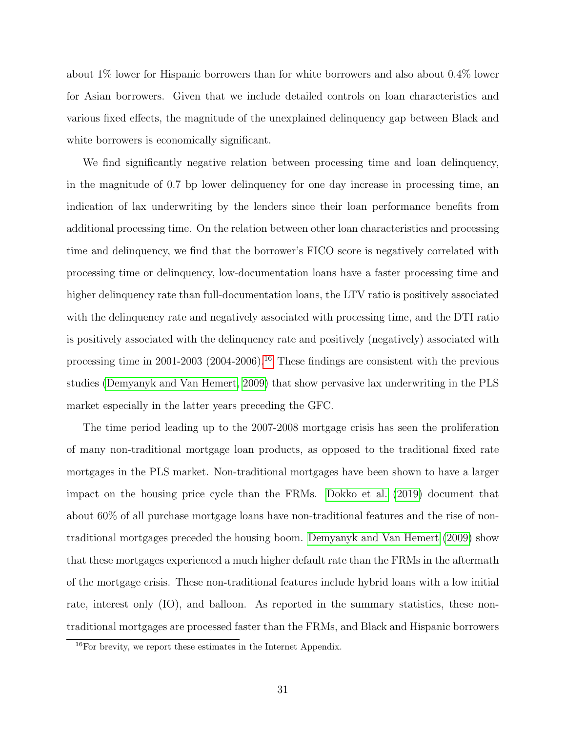about 1% lower for Hispanic borrowers than for white borrowers and also about 0.4% lower for Asian borrowers. Given that we include detailed controls on loan characteristics and various fixed effects, the magnitude of the unexplained delinquency gap between Black and white borrowers is economically significant.

We find significantly negative relation between processing time and loan delinquency, in the magnitude of 0.7 bp lower delinquency for one day increase in processing time, an indication of lax underwriting by the lenders since their loan performance benefits from additional processing time. On the relation between other loan characteristics and processing time and delinquency, we find that the borrower's FICO score is negatively correlated with processing time or delinquency, low-documentation loans have a faster processing time and higher delinquency rate than full-documentation loans, the LTV ratio is positively associated with the delinquency rate and negatively associated with processing time, and the DTI ratio is positively associated with the delinquency rate and positively (negatively) associated with processing time in 2001-2003 (2004-2006).[16](#page-31-0) These findings are consistent with the previous studies [\(Demyanyk and Van Hemert, 2009\)](#page-36-14) that show pervasive lax underwriting in the PLS market especially in the latter years preceding the GFC.

The time period leading up to the 2007-2008 mortgage crisis has seen the proliferation of many non-traditional mortgage loan products, as opposed to the traditional fixed rate mortgages in the PLS market. Non-traditional mortgages have been shown to have a larger impact on the housing price cycle than the FRMs. [Dokko et al.](#page-36-9) [\(2019\)](#page-36-9) document that about 60% of all purchase mortgage loans have non-traditional features and the rise of nontraditional mortgages preceded the housing boom. [Demyanyk and Van Hemert](#page-36-14) [\(2009\)](#page-36-14) show that these mortgages experienced a much higher default rate than the FRMs in the aftermath of the mortgage crisis. These non-traditional features include hybrid loans with a low initial rate, interest only (IO), and balloon. As reported in the summary statistics, these nontraditional mortgages are processed faster than the FRMs, and Black and Hispanic borrowers

<span id="page-31-0"></span> $16$ For brevity, we report these estimates in the Internet Appendix.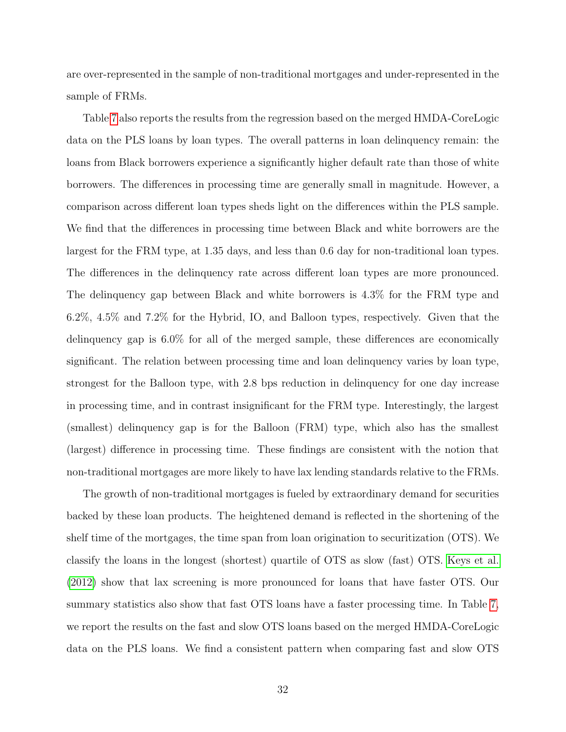are over-represented in the sample of non-traditional mortgages and under-represented in the sample of FRMs.

Table [7](#page-49-0) also reports the results from the regression based on the merged HMDA-CoreLogic data on the PLS loans by loan types. The overall patterns in loan delinquency remain: the loans from Black borrowers experience a significantly higher default rate than those of white borrowers. The differences in processing time are generally small in magnitude. However, a comparison across different loan types sheds light on the differences within the PLS sample. We find that the differences in processing time between Black and white borrowers are the largest for the FRM type, at 1.35 days, and less than 0.6 day for non-traditional loan types. The differences in the delinquency rate across different loan types are more pronounced. The delinquency gap between Black and white borrowers is 4.3% for the FRM type and 6.2%, 4.5% and 7.2% for the Hybrid, IO, and Balloon types, respectively. Given that the delinquency gap is 6.0% for all of the merged sample, these differences are economically significant. The relation between processing time and loan delinquency varies by loan type, strongest for the Balloon type, with 2.8 bps reduction in delinquency for one day increase in processing time, and in contrast insignificant for the FRM type. Interestingly, the largest (smallest) delinquency gap is for the Balloon (FRM) type, which also has the smallest (largest) difference in processing time. These findings are consistent with the notion that non-traditional mortgages are more likely to have lax lending standards relative to the FRMs.

The growth of non-traditional mortgages is fueled by extraordinary demand for securities backed by these loan products. The heightened demand is reflected in the shortening of the shelf time of the mortgages, the time span from loan origination to securitization (OTS). We classify the loans in the longest (shortest) quartile of OTS as slow (fast) OTS. [Keys et al.](#page-37-1) [\(2012\)](#page-37-1) show that lax screening is more pronounced for loans that have faster OTS. Our summary statistics also show that fast OTS loans have a faster processing time. In Table [7,](#page-49-0) we report the results on the fast and slow OTS loans based on the merged HMDA-CoreLogic data on the PLS loans. We find a consistent pattern when comparing fast and slow OTS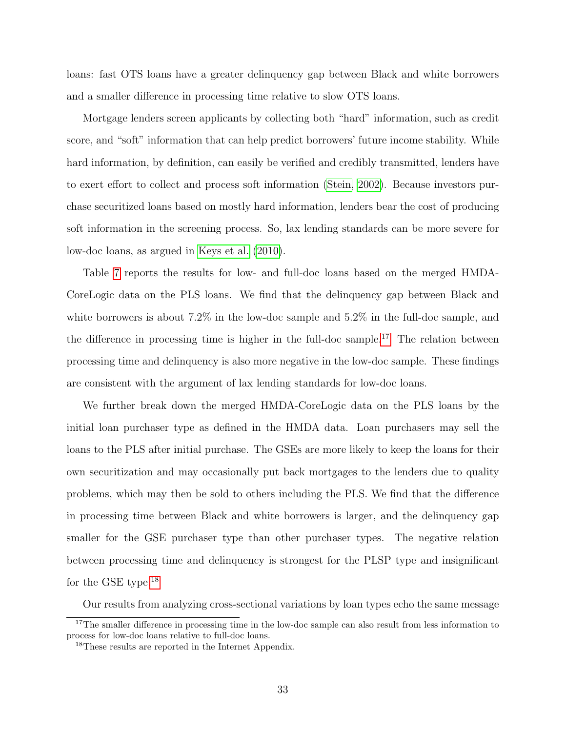loans: fast OTS loans have a greater delinquency gap between Black and white borrowers and a smaller difference in processing time relative to slow OTS loans.

Mortgage lenders screen applicants by collecting both "hard" information, such as credit score, and "soft" information that can help predict borrowers' future income stability. While hard information, by definition, can easily be verified and credibly transmitted, lenders have to exert effort to collect and process soft information [\(Stein, 2002\)](#page-38-4). Because investors purchase securitized loans based on mostly hard information, lenders bear the cost of producing soft information in the screening process. So, lax lending standards can be more severe for low-doc loans, as argued in [Keys et al.](#page-37-0) [\(2010\)](#page-37-0).

Table [7](#page-49-0) reports the results for low- and full-doc loans based on the merged HMDA-CoreLogic data on the PLS loans. We find that the delinquency gap between Black and white borrowers is about 7.2% in the low-doc sample and 5.2% in the full-doc sample, and the difference in processing time is higher in the full-doc sample.<sup>[17](#page-33-0)</sup> The relation between processing time and delinquency is also more negative in the low-doc sample. These findings are consistent with the argument of lax lending standards for low-doc loans.

We further break down the merged HMDA-CoreLogic data on the PLS loans by the initial loan purchaser type as defined in the HMDA data. Loan purchasers may sell the loans to the PLS after initial purchase. The GSEs are more likely to keep the loans for their own securitization and may occasionally put back mortgages to the lenders due to quality problems, which may then be sold to others including the PLS. We find that the difference in processing time between Black and white borrowers is larger, and the delinquency gap smaller for the GSE purchaser type than other purchaser types. The negative relation between processing time and delinquency is strongest for the PLSP type and insignificant for the GSE type.[18](#page-33-1)

<span id="page-33-0"></span>Our results from analyzing cross-sectional variations by loan types echo the same message

<sup>&</sup>lt;sup>17</sup>The smaller difference in processing time in the low-doc sample can also result from less information to process for low-doc loans relative to full-doc loans.

<span id="page-33-1"></span><sup>&</sup>lt;sup>18</sup>These results are reported in the Internet Appendix.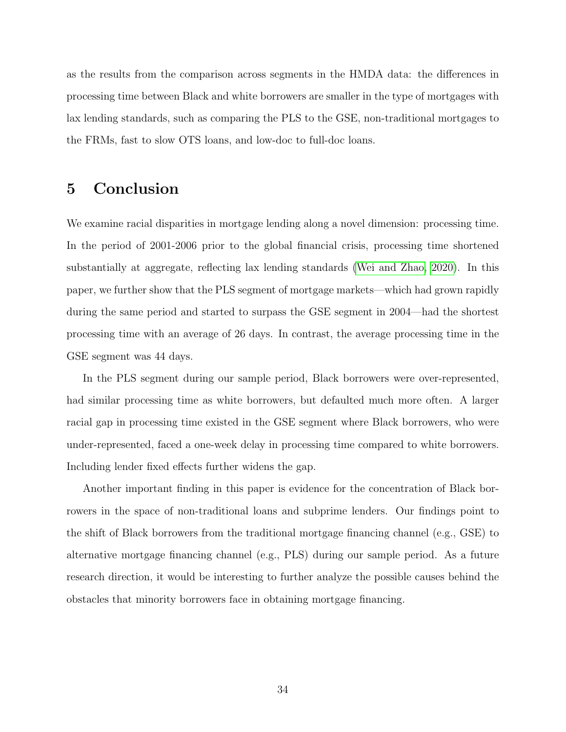as the results from the comparison across segments in the HMDA data: the differences in processing time between Black and white borrowers are smaller in the type of mortgages with lax lending standards, such as comparing the PLS to the GSE, non-traditional mortgages to the FRMs, fast to slow OTS loans, and low-doc to full-doc loans.

## <span id="page-34-0"></span>5 Conclusion

We examine racial disparities in mortgage lending along a novel dimension: processing time. In the period of 2001-2006 prior to the global financial crisis, processing time shortened substantially at aggregate, reflecting lax lending standards [\(Wei and Zhao, 2020\)](#page-38-0). In this paper, we further show that the PLS segment of mortgage markets—which had grown rapidly during the same period and started to surpass the GSE segment in 2004—had the shortest processing time with an average of 26 days. In contrast, the average processing time in the GSE segment was 44 days.

In the PLS segment during our sample period, Black borrowers were over-represented, had similar processing time as white borrowers, but defaulted much more often. A larger racial gap in processing time existed in the GSE segment where Black borrowers, who were under-represented, faced a one-week delay in processing time compared to white borrowers. Including lender fixed effects further widens the gap.

Another important finding in this paper is evidence for the concentration of Black borrowers in the space of non-traditional loans and subprime lenders. Our findings point to the shift of Black borrowers from the traditional mortgage financing channel (e.g., GSE) to alternative mortgage financing channel (e.g., PLS) during our sample period. As a future research direction, it would be interesting to further analyze the possible causes behind the obstacles that minority borrowers face in obtaining mortgage financing.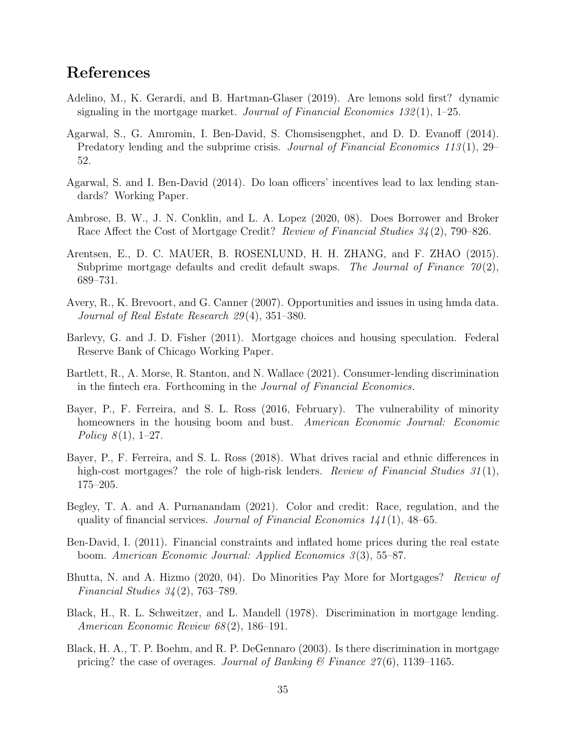## References

- <span id="page-35-2"></span>Adelino, M., K. Gerardi, and B. Hartman-Glaser (2019). Are lemons sold first? dynamic signaling in the mortgage market. Journal of Financial Economics  $132(1)$ , 1–25.
- <span id="page-35-11"></span>Agarwal, S., G. Amromin, I. Ben-David, S. Chomsisengphet, and D. D. Evanoff (2014). Predatory lending and the subprime crisis. Journal of Financial Economics 113(1), 29– 52.
- <span id="page-35-13"></span>Agarwal, S. and I. Ben-David (2014). Do loan officers' incentives lead to lax lending standards? Working Paper.
- <span id="page-35-6"></span>Ambrose, B. W., J. N. Conklin, and L. A. Lopez (2020, 08). Does Borrower and Broker Race Affect the Cost of Mortgage Credit? Review of Financial Studies 34(2), 790–826.
- <span id="page-35-3"></span>Arentsen, E., D. C. MAUER, B. ROSENLUND, H. H. ZHANG, and F. ZHAO (2015). Subprime mortgage defaults and credit default swaps. The Journal of Finance  $70(2)$ , 689–731.
- <span id="page-35-14"></span>Avery, R., K. Brevoort, and G. Canner (2007). Opportunities and issues in using hmda data. Journal of Real Estate Research 29 (4), 351–380.
- <span id="page-35-10"></span>Barlevy, G. and J. D. Fisher (2011). Mortgage choices and housing speculation. Federal Reserve Bank of Chicago Working Paper.
- <span id="page-35-0"></span>Bartlett, R., A. Morse, R. Stanton, and N. Wallace (2021). Consumer-lending discrimination in the fintech era. Forthcoming in the Journal of Financial Economics.
- <span id="page-35-9"></span>Bayer, P., F. Ferreira, and S. L. Ross (2016, February). The vulnerability of minority homeowners in the housing boom and bust. American Economic Journal: Economic Policy  $8(1)$ , 1–27.
- <span id="page-35-1"></span>Bayer, P., F. Ferreira, and S. L. Ross (2018). What drives racial and ethnic differences in high-cost mortgages? the role of high-risk lenders. Review of Financial Studies  $31(1)$ , 175–205.
- <span id="page-35-7"></span>Begley, T. A. and A. Purnanandam (2021). Color and credit: Race, regulation, and the quality of financial services. Journal of Financial Economics  $141(1)$ , 48–65.
- <span id="page-35-12"></span>Ben-David, I. (2011). Financial constraints and inflated home prices during the real estate boom. American Economic Journal: Applied Economics 3 (3), 55–87.
- <span id="page-35-8"></span>Bhutta, N. and A. Hizmo (2020, 04). Do Minorities Pay More for Mortgages? Review of Financial Studies 34 (2), 763–789.
- <span id="page-35-4"></span>Black, H., R. L. Schweitzer, and L. Mandell (1978). Discrimination in mortgage lending. American Economic Review 68 (2), 186–191.
- <span id="page-35-5"></span>Black, H. A., T. P. Boehm, and R. P. DeGennaro (2003). Is there discrimination in mortgage pricing? the case of overages. Journal of Banking  $\mathcal{C}$  Finance  $\mathcal{Z}^{\gamma}(6)$ , 1139–1165.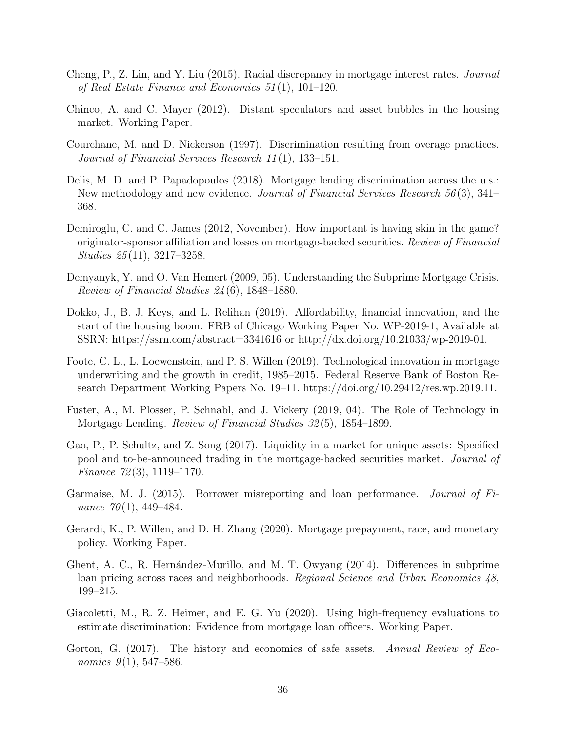- <span id="page-36-6"></span>Cheng, P., Z. Lin, and Y. Liu (2015). Racial discrepancy in mortgage interest rates. Journal of Real Estate Finance and Economics 51 (1), 101–120.
- <span id="page-36-11"></span>Chinco, A. and C. Mayer (2012). Distant speculators and asset bubbles in the housing market. Working Paper.
- <span id="page-36-4"></span>Courchane, M. and D. Nickerson (1997). Discrimination resulting from overage practices. Journal of Financial Services Research 11 (1), 133–151.
- <span id="page-36-7"></span>Delis, M. D. and P. Papadopoulos (2018). Mortgage lending discrimination across the u.s.: New methodology and new evidence. Journal of Financial Services Research 56 (3), 341– 368.
- <span id="page-36-13"></span>Demiroglu, C. and C. James (2012, November). How important is having skin in the game? originator-sponsor affiliation and losses on mortgage-backed securities. Review of Financial Studies 25 (11), 3217–3258.
- <span id="page-36-14"></span>Demyanyk, Y. and O. Van Hemert (2009, 05). Understanding the Subprime Mortgage Crisis. Review of Financial Studies 24 (6), 1848–1880.
- <span id="page-36-9"></span>Dokko, J., B. J. Keys, and L. Relihan (2019). Affordability, financial innovation, and the start of the housing boom. FRB of Chicago Working Paper No. WP-2019-1, Available at SSRN: https://ssrn.com/abstract=3341616 or http://dx.doi.org/10.21033/wp-2019-01.
- <span id="page-36-0"></span>Foote, C. L., L. Loewenstein, and P. S. Willen (2019). Technological innovation in mortgage underwriting and the growth in credit, 1985–2015. Federal Reserve Bank of Boston Research Department Working Papers No. 19–11. https://doi.org/10.29412/res.wp.2019.11.
- <span id="page-36-1"></span>Fuster, A., M. Plosser, P. Schnabl, and J. Vickery (2019, 04). The Role of Technology in Mortgage Lending. Review of Financial Studies 32 (5), 1854–1899.
- <span id="page-36-2"></span>Gao, P., P. Schultz, and Z. Song (2017). Liquidity in a market for unique assets: Specified pool and to-be-announced trading in the mortgage-backed securities market. Journal of Finance 72 (3), 1119–1170.
- <span id="page-36-12"></span>Garmaise, M. J. (2015). Borrower misreporting and loan performance. Journal of Finance  $70(1)$ , 449–484.
- <span id="page-36-8"></span>Gerardi, K., P. Willen, and D. H. Zhang (2020). Mortgage prepayment, race, and monetary policy. Working Paper.
- <span id="page-36-5"></span>Ghent, A. C., R. Hernández-Murillo, and M. T. Owyang (2014). Differences in subprime loan pricing across races and neighborhoods. Regional Science and Urban Economics 48, 199–215.
- <span id="page-36-3"></span>Giacoletti, M., R. Z. Heimer, and E. G. Yu (2020). Using high-frequency evaluations to estimate discrimination: Evidence from mortgage loan officers. Working Paper.
- <span id="page-36-10"></span>Gorton, G. (2017). The history and economics of safe assets. Annual Review of Economics  $9(1)$ , 547–586.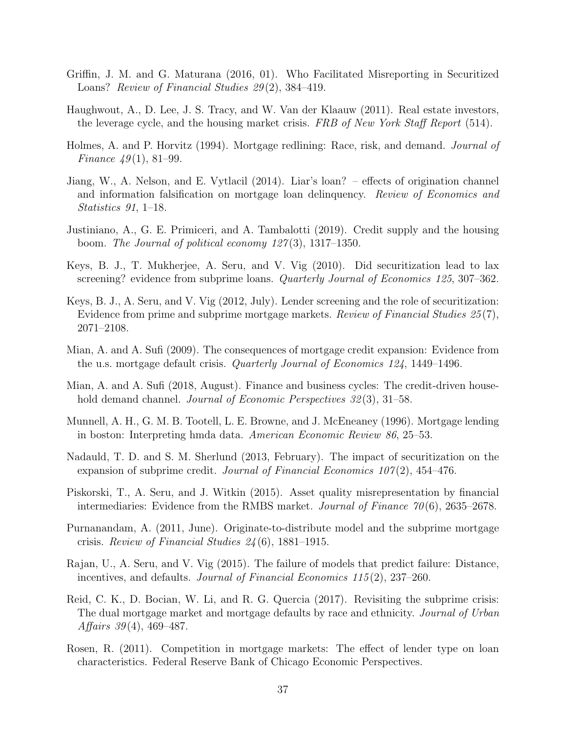- <span id="page-37-11"></span>Griffin, J. M. and G. Maturana (2016, 01). Who Facilitated Misreporting in Securitized Loans? Review of Financial Studies 29(2), 384-419.
- <span id="page-37-8"></span>Haughwout, A., D. Lee, J. S. Tracy, and W. Van der Klaauw (2011). Real estate investors, the leverage cycle, and the housing market crisis. FRB of New York Staff Report (514).
- <span id="page-37-2"></span>Holmes, A. and P. Horvitz (1994). Mortgage redlining: Race, risk, and demand. *Journal of* Finance  $49(1)$ , 81–99.
- <span id="page-37-9"></span>Jiang, W., A. Nelson, and E. Vytlacil (2014). Liar's loan? – effects of origination channel and information falsification on mortgage loan delinquency. Review of Economics and Statistics 91, 1–18.
- <span id="page-37-6"></span>Justiniano, A., G. E. Primiceri, and A. Tambalotti (2019). Credit supply and the housing boom. The Journal of political economy  $127(3)$ , 1317–1350.
- <span id="page-37-0"></span>Keys, B. J., T. Mukherjee, A. Seru, and V. Vig (2010). Did securitization lead to lax screening? evidence from subprime loans. Quarterly Journal of Economics 125, 307-362.
- <span id="page-37-1"></span>Keys, B. J., A. Seru, and V. Vig (2012, July). Lender screening and the role of securitization: Evidence from prime and subprime mortgage markets. Review of Financial Studies 25(7), 2071–2108.
- <span id="page-37-7"></span>Mian, A. and A. Sufi (2009). The consequences of mortgage credit expansion: Evidence from the u.s. mortgage default crisis. Quarterly Journal of Economics 124, 1449–1496.
- <span id="page-37-5"></span>Mian, A. and A. Sufi (2018, August). Finance and business cycles: The credit-driven household demand channel. *Journal of Economic Perspectives* 32(3), 31–58.
- <span id="page-37-3"></span>Munnell, A. H., G. M. B. Tootell, L. E. Browne, and J. McEneaney (1996). Mortgage lending in boston: Interpreting hmda data. American Economic Review 86, 25–53.
- <span id="page-37-13"></span>Nadauld, T. D. and S. M. Sherlund (2013, February). The impact of securitization on the expansion of subprime credit. Journal of Financial Economics  $107(2)$ , 454–476.
- <span id="page-37-10"></span>Piskorski, T., A. Seru, and J. Witkin (2015). Asset quality misrepresentation by financial intermediaries: Evidence from the RMBS market. Journal of Finance  $70(6)$ , 2635–2678.
- <span id="page-37-12"></span>Purnanandam, A. (2011, June). Originate-to-distribute model and the subprime mortgage crisis. Review of Financial Studies 24 (6), 1881–1915.
- <span id="page-37-14"></span>Rajan, U., A. Seru, and V. Vig (2015). The failure of models that predict failure: Distance, incentives, and defaults. Journal of Financial Economics 115 (2), 237–260.
- <span id="page-37-4"></span>Reid, C. K., D. Bocian, W. Li, and R. G. Quercia (2017). Revisiting the subprime crisis: The dual mortgage market and mortgage defaults by race and ethnicity. Journal of Urban Affairs  $39(4)$ ,  $469-487$ .
- <span id="page-37-15"></span>Rosen, R. (2011). Competition in mortgage markets: The effect of lender type on loan characteristics. Federal Reserve Bank of Chicago Economic Perspectives.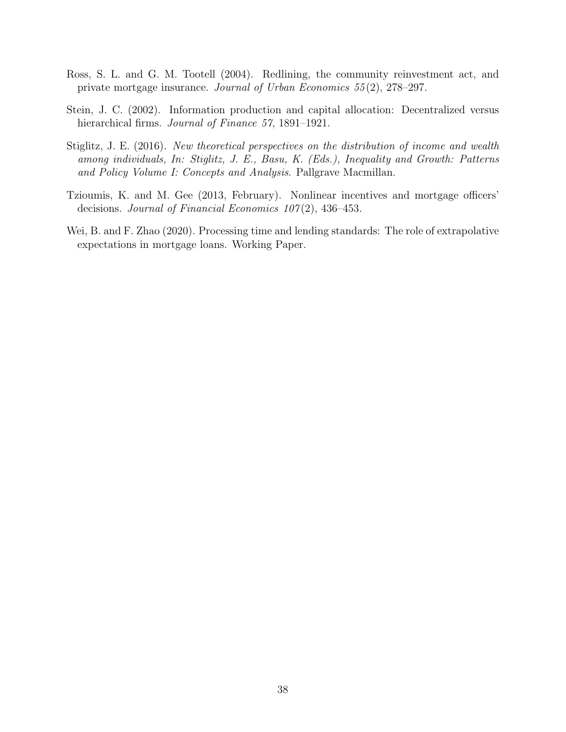- <span id="page-38-1"></span>Ross, S. L. and G. M. Tootell (2004). Redlining, the community reinvestment act, and private mortgage insurance. Journal of Urban Economics 55 (2), 278–297.
- <span id="page-38-4"></span>Stein, J. C. (2002). Information production and capital allocation: Decentralized versus hierarchical firms. *Journal of Finance* 57, 1891–1921.
- <span id="page-38-2"></span>Stiglitz, J. E. (2016). New theoretical perspectives on the distribution of income and wealth among individuals, In: Stiglitz, J. E., Basu, K. (Eds.), Inequality and Growth: Patterns and Policy Volume I: Concepts and Analysis. Pallgrave Macmillan.
- <span id="page-38-3"></span>Tzioumis, K. and M. Gee (2013, February). Nonlinear incentives and mortgage officers' decisions. Journal of Financial Economics  $107(2)$ , 436-453.
- <span id="page-38-0"></span>Wei, B. and F. Zhao (2020). Processing time and lending standards: The role of extrapolative expectations in mortgage loans. Working Paper.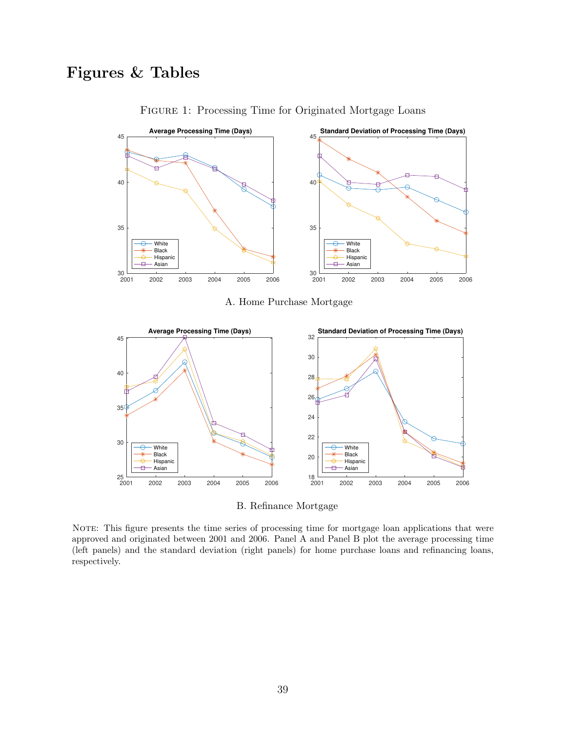## <span id="page-39-0"></span>Figures & Tables



Figure 1: Processing Time for Originated Mortgage Loans

A. Home Purchase Mortgage



B. Refinance Mortgage

NOTE: This figure presents the time series of processing time for mortgage loan applications that were approved and originated between 2001 and 2006. Panel A and Panel B plot the average processing time (left panels) and the standard deviation (right panels) for home purchase loans and refinancing loans, respectively.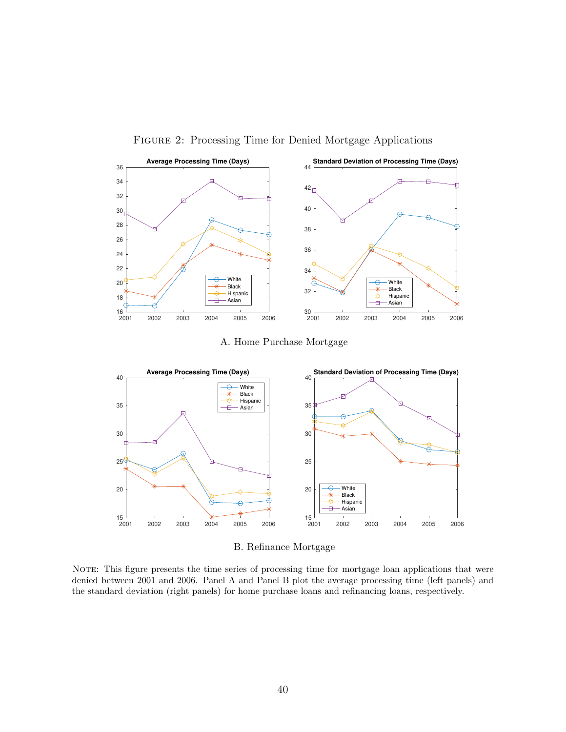<span id="page-40-0"></span>

Figure 2: Processing Time for Denied Mortgage Applications

A. Home Purchase Mortgage



B. Refinance Mortgage

NOTE: This figure presents the time series of processing time for mortgage loan applications that were denied between 2001 and 2006. Panel A and Panel B plot the average processing time (left panels) and the standard deviation (right panels) for home purchase loans and refinancing loans, respectively.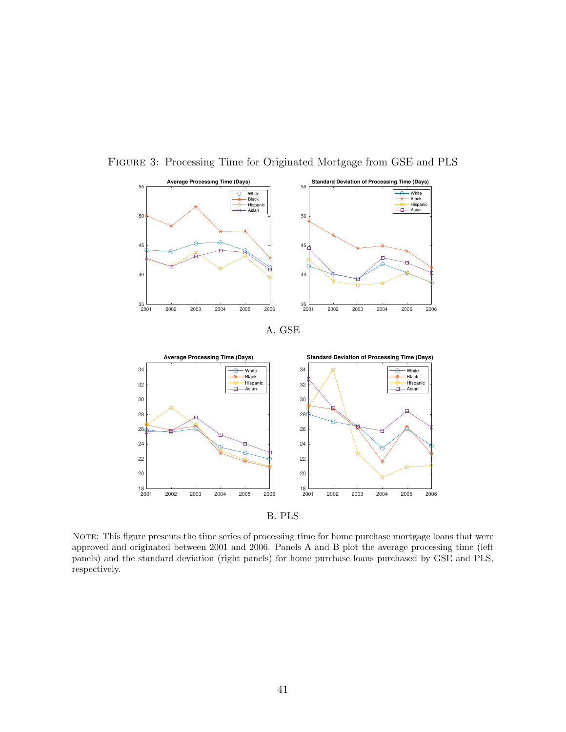

<span id="page-41-0"></span>Figure 3: Processing Time for Originated Mortgage from GSE and PLS





B. PLS

NOTE: This figure presents the time series of processing time for home purchase mortgage loans that were approved and originated between 2001 and 2006. Panels A and B plot the average processing time (left panels) and the standard deviation (right panels) for home purchase loans purchased by GSE and PLS, respectively.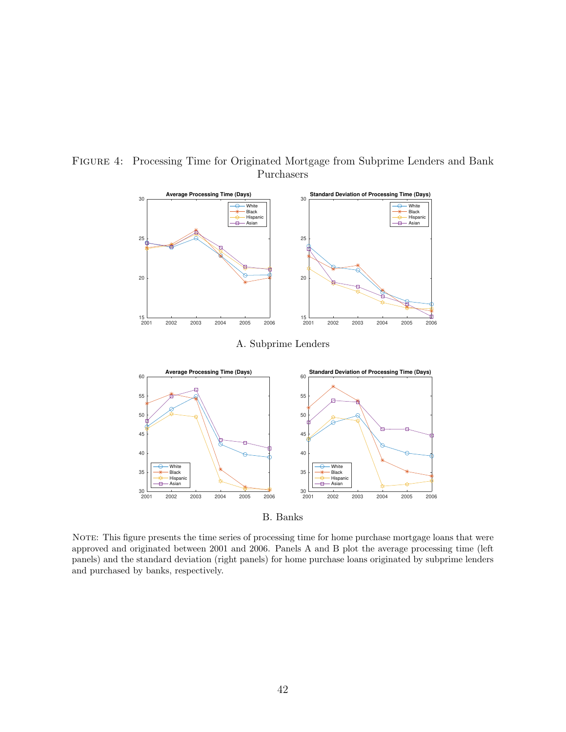

#### <span id="page-42-0"></span>Figure 4: Processing Time for Originated Mortgage from Subprime Lenders and Bank Purchasers

B. Banks

NOTE: This figure presents the time series of processing time for home purchase mortgage loans that were approved and originated between 2001 and 2006. Panels A and B plot the average processing time (left panels) and the standard deviation (right panels) for home purchase loans originated by subprime lenders and purchased by banks, respectively.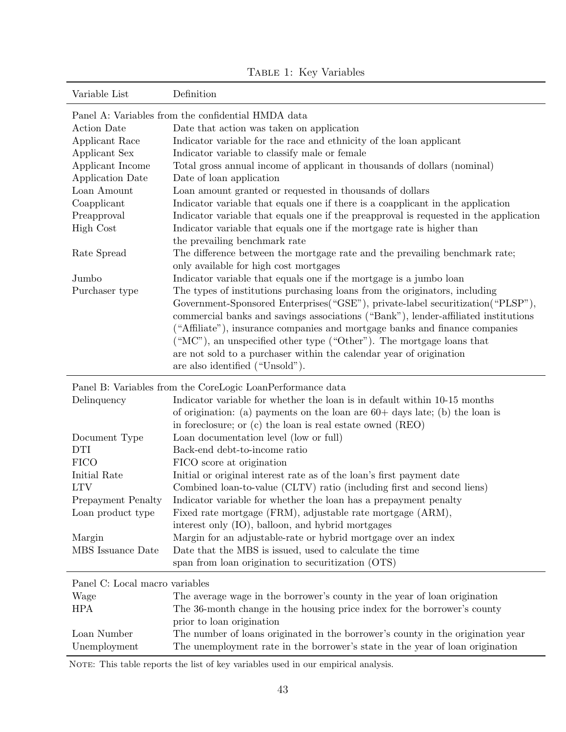<span id="page-43-0"></span>

| Variable List                  | Definition                                                                                                            |
|--------------------------------|-----------------------------------------------------------------------------------------------------------------------|
|                                | Panel A: Variables from the confidential HMDA data                                                                    |
| <b>Action Date</b>             | Date that action was taken on application                                                                             |
| Applicant Race                 | Indicator variable for the race and ethnicity of the loan applicant                                                   |
| Applicant Sex                  | Indicator variable to classify male or female                                                                         |
| Applicant Income               | Total gross annual income of applicant in thousands of dollars (nominal)                                              |
| <b>Application Date</b>        | Date of loan application                                                                                              |
| Loan Amount                    | Loan amount granted or requested in thousands of dollars                                                              |
| Coapplicant                    | Indicator variable that equals one if there is a coapplicant in the application                                       |
| Preapproval                    | Indicator variable that equals one if the preapproval is requested in the application                                 |
| <b>High Cost</b>               | Indicator variable that equals one if the mortgage rate is higher than                                                |
|                                | the prevailing benchmark rate                                                                                         |
| Rate Spread                    | The difference between the mortgage rate and the prevailing benchmark rate;<br>only available for high cost mortgages |
| Jumbo                          | Indicator variable that equals one if the mortgage is a jumbo loan                                                    |
| Purchaser type                 | The types of institutions purchasing loans from the originators, including                                            |
|                                | Government-Sponsored Enterprises ("GSE"), private-label securitization ("PLSP"),                                      |
|                                | commercial banks and savings associations ("Bank"), lender-affiliated institutions                                    |
|                                | ("Affiliate"), insurance companies and mortgage banks and finance companies                                           |
|                                | ("MC"), an unspecified other type ("Other"). The mortgage loans that                                                  |
|                                | are not sold to a purchaser within the calendar year of origination                                                   |
|                                | are also identified ("Unsold").                                                                                       |
|                                | Panel B: Variables from the CoreLogic LoanPerformance data                                                            |
| Delinquency                    | Indicator variable for whether the loan is in default within 10-15 months                                             |
|                                | of origination: (a) payments on the loan are $60+$ days late; (b) the loan is                                         |
|                                | in foreclosure; or (c) the loan is real estate owned (REO)                                                            |
| Document Type                  | Loan documentation level (low or full)                                                                                |
| <b>DTI</b>                     | Back-end debt-to-income ratio                                                                                         |
| <b>FICO</b>                    | FICO score at origination                                                                                             |
| Initial Rate                   | Initial or original interest rate as of the loan's first payment date                                                 |
| <b>LTV</b>                     | Combined loan-to-value (CLTV) ratio (including first and second liens)                                                |
| <b>Prepayment Penalty</b>      | Indicator variable for whether the loan has a prepayment penalty                                                      |
| Loan product type              | Fixed rate mortgage (FRM), adjustable rate mortgage (ARM),                                                            |
|                                | interest only (IO), balloon, and hybrid mortgages                                                                     |
| Margin                         | Margin for an adjustable-rate or hybrid mortgage over an index                                                        |
| MBS Issuance Date              | Date that the MBS is issued, used to calculate the time                                                               |
|                                | span from loan origination to securitization (OTS)                                                                    |
| Panel C: Local macro variables |                                                                                                                       |
| Wage                           | The average wage in the borrower's county in the year of loan origination                                             |
| <b>HPA</b>                     | The 36-month change in the housing price index for the borrower's county                                              |
|                                | prior to loan origination                                                                                             |
| Loan Number                    | The number of loans originated in the borrower's county in the origination year                                       |

TABLE 1: Key Variables

NOTE: This table reports the list of key variables used in our empirical analysis.

Unemployment The unemployment rate in the borrower's state in the year of loan origination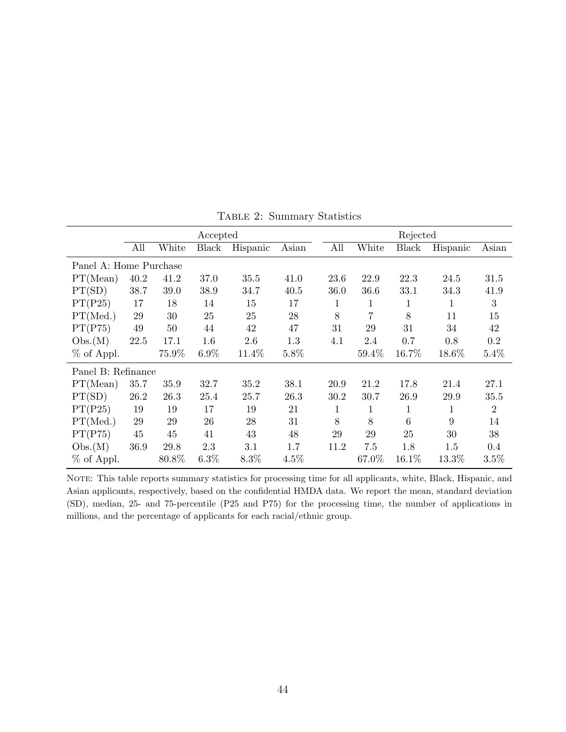<span id="page-44-0"></span>

|                        |        |       | Accepted |          |         |      |       | Rejected     |              |                |
|------------------------|--------|-------|----------|----------|---------|------|-------|--------------|--------------|----------------|
|                        | All    | White | Black    | Hispanic | Asian   | All  | White | Black        | Hispanic     | Asian          |
| Panel A: Home Purchase |        |       |          |          |         |      |       |              |              |                |
| PT(Mean)               | 40.2   | 41.2  | 37.0     | 35.5     | 41.0    | 23.6 | 22.9  | 22.3         | 24.5         | 31.5           |
| PT(SD)                 | 38.7   | 39.0  | 38.9     | 34.7     | 40.5    | 36.0 | 36.6  | 33.1         | 34.3         | 41.9           |
| PT(P25)                | 17     | 18    | 14       | 15       | 17      | 1    | 1     | $\mathbf 1$  | 1            | 3              |
| PT(Med.)               | 29     | 30    | 25       | 25       | 28      | 8    | 7     | 8            | 11           | 15             |
| PT(P75)                | 49     | 50    | 44       | 42       | 47      | 31   | 29    | 31           | 34           | 42             |
| Obs.(M)                | 22.5   | 17.1  | 1.6      | 2.6      | 1.3     | 4.1  | 2.4   | 0.7          | 0.8          | 0.2            |
| % of Appl.             |        | 75.9% | $6.9\%$  | 11.4%    | 5.8%    |      | 59.4% | 16.7%        | 18.6%        | 5.4%           |
| Panel B: Refinance     |        |       |          |          |         |      |       |              |              |                |
| PT(Mean)               | 35.7   | 35.9  | 32.7     | 35.2     | 38.1    | 20.9 | 21.2  | 17.8         | 21.4         | 27.1           |
| PT(SD)                 | 26.2   | 26.3  | 25.4     | 25.7     | 26.3    | 30.2 | 30.7  | 26.9         | 29.9         | 35.5           |
| PT(P25)                | 19     | 19    | 17       | 19       | 21      | 1    | 1     | $\mathbf{1}$ | $\mathbf{1}$ | $\overline{2}$ |
| PT(Med.)               | $29\,$ | 29    | 26       | 28       | 31      | 8    | 8     | 6            | 9            | 14             |
| PT(P75)                | 45     | 45    | 41       | 43       | 48      | 29   | 29    | 25           | 30           | 38             |
| Obs.(M)                | 36.9   | 29.8  | 2.3      | $3.1\,$  | 1.7     | 11.2 | 7.5   | 1.8          | 1.5          | 0.4            |
| % of Appl.             |        | 80.8% | 6.3%     | $8.3\%$  | $4.5\%$ |      | 67.0% | 16.1%        | 13.3%        | 3.5%           |

Table 2: Summary Statistics

NOTE: This table reports summary statistics for processing time for all applicants, white, Black, Hispanic, and Asian applicants, respectively, based on the confidential HMDA data. We report the mean, standard deviation (SD), median, 25- and 75-percentile (P25 and P75) for the processing time, the number of applications in millions, and the percentage of applicants for each racial/ethnic group.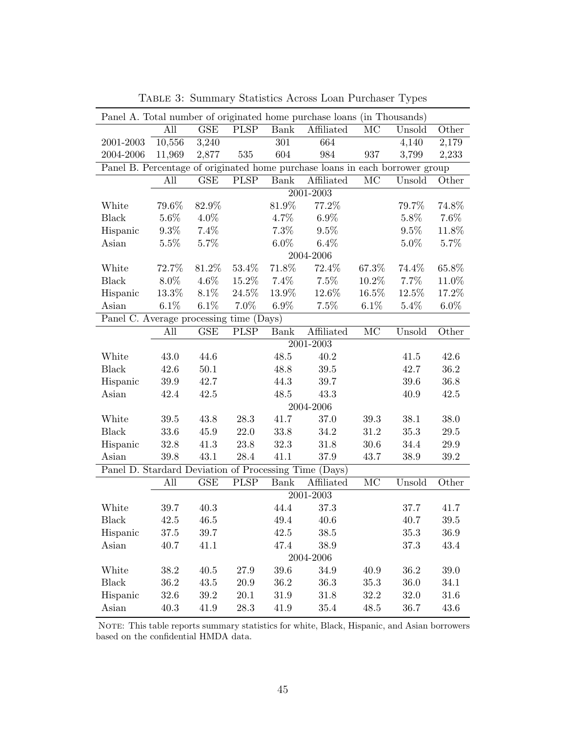<span id="page-45-0"></span>

|                                                       |          |                         |                          |             | Panel A. Total number of originated home purchase loans (in Thousands)       |                        |         |          |
|-------------------------------------------------------|----------|-------------------------|--------------------------|-------------|------------------------------------------------------------------------------|------------------------|---------|----------|
|                                                       | All      | GSE                     | PLSP                     | <b>Bank</b> | Affiliated                                                                   | MC                     | Unsold  | Other    |
| 2001-2003                                             | 10,556   | 3,240                   |                          | 301         | 664                                                                          |                        | 4,140   | 2,179    |
| $2004 - 2006$                                         | 11,969   | 2,877                   | $535\,$                  | 604         | 984                                                                          | 937                    | 3,799   | 2,233    |
|                                                       |          |                         |                          |             | Panel B. Percentage of originated home purchase loans in each borrower group |                        |         |          |
|                                                       | All      | <b>GSE</b>              | $\overline{\text{PLSP}}$ | <b>Bank</b> | Affiliated                                                                   | $\rm MC$               | Unsold  | Other    |
|                                                       |          |                         |                          |             | 2001-2003                                                                    |                        |         |          |
| White                                                 | 79.6%    | $82.9\%$                |                          | 81.9%       | 77.2%                                                                        |                        | 79.7%   | 74.8%    |
| <b>Black</b>                                          | 5.6%     | 4.0%                    |                          | 4.7%        | $6.9\%$                                                                      |                        | 5.8%    | 7.6%     |
| Hispanic                                              | 9.3%     | 7.4%                    |                          | 7.3%        | 9.5%                                                                         |                        | 9.5%    | 11.8%    |
| Asian                                                 | 5.5%     | 5.7%                    |                          | $6.0\%$     | 6.4%                                                                         |                        | $5.0\%$ | 5.7%     |
|                                                       |          |                         |                          |             | 2004-2006                                                                    |                        |         |          |
| White                                                 | 72.7%    | 81.2%                   | 53.4%                    | 71.8%       | $72.4\%$                                                                     | 67.3%                  | 74.4%   | 65.8%    |
| <b>Black</b>                                          | $8.0\%$  | $4.6\%$                 | 15.2%                    | 7.4%        | 7.5%                                                                         | 10.2%                  | 7.7%    | 11.0%    |
| Hispanic                                              | 13.3%    | 8.1%                    | 24.5%                    | 13.9%       | 12.6%                                                                        | 16.5%                  | 12.5%   | 17.2%    |
| Asian                                                 | 6.1%     | $6.1\%$                 | 7.0%                     | $6.9\%$     | 7.5%                                                                         | $6.1\%$                | $5.4\%$ | $6.0\%$  |
| Panel C. Average processing time (Days)               |          |                         |                          |             |                                                                              |                        |         |          |
|                                                       | All      | $\overline{\text{GSE}}$ | <b>PLSP</b>              | Bank        | Affiliated                                                                   | $\rm MC$               | Unsold  | Other    |
|                                                       |          |                         |                          |             | 2001-2003                                                                    |                        |         |          |
| White                                                 | 43.0     | 44.6                    |                          | 48.5        | 40.2                                                                         |                        | 41.5    | 42.6     |
| <b>Black</b>                                          | 42.6     | $50.1\,$                |                          | 48.8        | 39.5                                                                         |                        | 42.7    | 36.2     |
| Hispanic                                              | 39.9     | 42.7                    |                          | 44.3        | 39.7                                                                         |                        | 39.6    | 36.8     |
| Asian                                                 | 42.4     | 42.5                    |                          | 48.5        | 43.3                                                                         |                        | 40.9    | 42.5     |
|                                                       |          |                         |                          |             | 2004-2006                                                                    |                        |         |          |
| White                                                 | $39.5\,$ | 43.8                    | 28.3                     | 41.7        | 37.0                                                                         | 39.3                   | 38.1    | 38.0     |
| <b>Black</b>                                          | 33.6     | 45.9                    | 22.0                     | 33.8        | 34.2                                                                         | 31.2                   | 35.3    | $29.5\,$ |
| Hispanic                                              | 32.8     | 41.3                    | 23.8                     | 32.3        | 31.8                                                                         | 30.6                   | 34.4    | $29.9\,$ |
| Asian                                                 | 39.8     | 43.1                    | $28.4\,$                 | 41.1        | 37.9                                                                         | 43.7                   | 38.9    | 39.2     |
| Panel D. Stardard Deviation of Processing Time (Days) |          |                         |                          |             |                                                                              |                        |         |          |
|                                                       | All      | <b>GSE</b>              | <b>PLSP</b>              | <b>Bank</b> | Affiliated                                                                   | $\overline{\text{MC}}$ | Unsold  | Other    |
|                                                       |          |                         |                          |             | 2001-2003                                                                    |                        |         |          |
| White                                                 | 39.7     | 40.3                    |                          | 44.4        | 37.3                                                                         |                        | 37.7    | 41.7     |
| Black                                                 | 42.5     | 46.5                    |                          | 49.4        | 40.6                                                                         |                        | 40.7    | 39.5     |
| Hispanic                                              | 37.5     | 39.7                    |                          | 42.5        | 38.5                                                                         |                        | 35.3    | 36.9     |
| Asian                                                 | 40.7     | 41.1                    |                          | 47.4        | 38.9                                                                         |                        | 37.3    | 43.4     |
|                                                       |          |                         |                          |             | 2004-2006                                                                    |                        |         |          |
| White                                                 | 38.2     | 40.5                    | 27.9                     | 39.6        | 34.9                                                                         | 40.9                   | 36.2    | 39.0     |
| <b>Black</b>                                          | 36.2     | 43.5                    | 20.9                     | 36.2        | 36.3                                                                         | 35.3                   | 36.0    | 34.1     |
| Hispanic                                              | 32.6     | 39.2                    | 20.1                     | 31.9        | 31.8                                                                         | 32.2                   | 32.0    | 31.6     |
| Asian                                                 | 40.3     | 41.9                    | 28.3                     | 41.9        | 35.4                                                                         | 48.5                   | 36.7    | 43.6     |

Table 3: Summary Statistics Across Loan Purchaser Types

NOTE: This table reports summary statistics for white, Black, Hispanic, and Asian borrowers based on the confidential HMDA data.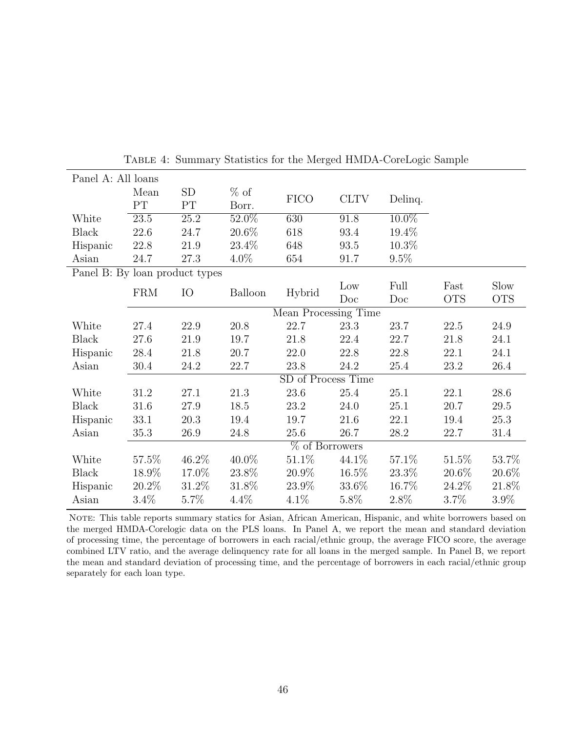<span id="page-46-0"></span>

| Panel A: All loans |            |                                      |                |                       |                                                                               |            |            |
|--------------------|------------|--------------------------------------|----------------|-----------------------|-------------------------------------------------------------------------------|------------|------------|
| Mean               | SD         | $%$ of                               |                |                       |                                                                               |            |            |
| PT                 | PT         | Borr.                                |                |                       |                                                                               |            |            |
| 23.5               | 25.2       | $52.0\%$                             | 630            | 91.8                  | $10.0\%$                                                                      |            |            |
| 22.6               | 24.7       | 20.6%                                | 618            | 93.4                  | 19.4\%                                                                        |            |            |
| 22.8               | 21.9       | 23.4%                                | 648            | 93.5                  | $10.3\%$                                                                      |            |            |
| 24.7               | 27.3       | 4.0%                                 | 654            | 91.7                  | 9.5%                                                                          |            |            |
|                    |            |                                      |                |                       |                                                                               |            |            |
|                    |            |                                      |                | Low                   | Full                                                                          | Fast       | Slow       |
|                    |            |                                      |                | Doc                   | Doc                                                                           | <b>OTS</b> | <b>OTS</b> |
|                    |            |                                      |                |                       |                                                                               |            |            |
| 27.4               | 22.9       | 20.8                                 | 22.7           | 23.3                  | 23.7                                                                          | 22.5       | 24.9       |
| 27.6               | 21.9       | 19.7                                 | 21.8           | 22.4                  | 22.7                                                                          | 21.8       | 24.1       |
| 28.4               | 21.8       | 20.7                                 | 22.0           | 22.8                  | 22.8                                                                          | 22.1       | 24.1       |
| 30.4               | 24.2       | 22.7                                 | 23.8           | 24.2                  | 25.4                                                                          | 23.2       | 26.4       |
|                    |            |                                      |                |                       |                                                                               |            |            |
| 31.2               | 27.1       | 21.3                                 | 23.6           | 25.4                  | 25.1                                                                          | 22.1       | 28.6       |
| 31.6               | 27.9       | 18.5                                 | 23.2           | 24.0                  | 25.1                                                                          | 20.7       | $29.5\,$   |
| 33.1               | 20.3       | 19.4                                 | 19.7           | 21.6                  | 22.1                                                                          | 19.4       | 25.3       |
| 35.3               | 26.9       | 24.8                                 | 25.6           | 26.7                  | 28.2                                                                          | 22.7       | 31.4       |
|                    |            |                                      |                |                       |                                                                               |            |            |
| 57.5%              | 46.2%      | 40.0%                                | 51.1\%         | 44.1\%                | 57.1\%                                                                        | 51.5%      | 53.7%      |
| 18.9%              | 17.0%      | 23.8%                                | 20.9%          | 16.5%                 | 23.3%                                                                         | $20.6\%$   | 20.6%      |
| 20.2\%             | 31.2\%     | 31.8%                                | 23.9%          | 33.6%                 | 16.7%                                                                         | 24.2\%     | 21.8%      |
| $3.4\%$            | 5.7%       | $4.4\%$                              | 4.1%           | 5.8%                  | 2.8%                                                                          | $3.7\%$    | 3.9%       |
|                    | <b>FRM</b> | Panel B: By loan product types<br>IO | <b>Balloon</b> | <b>FICO</b><br>Hybrid | <b>CLTV</b><br>Mean Processing Time<br>SD of Process Time<br>$%$ of Borrowers | Delinq.    |            |

Table 4: Summary Statistics for the Merged HMDA-CoreLogic Sample

NOTE: This table reports summary statics for Asian, African American, Hispanic, and white borrowers based on the merged HMDA-Corelogic data on the PLS loans. In Panel A, we report the mean and standard deviation of processing time, the percentage of borrowers in each racial/ethnic group, the average FICO score, the average combined LTV ratio, and the average delinquency rate for all loans in the merged sample. In Panel B, we report the mean and standard deviation of processing time, and the percentage of borrowers in each racial/ethnic group separately for each loan type.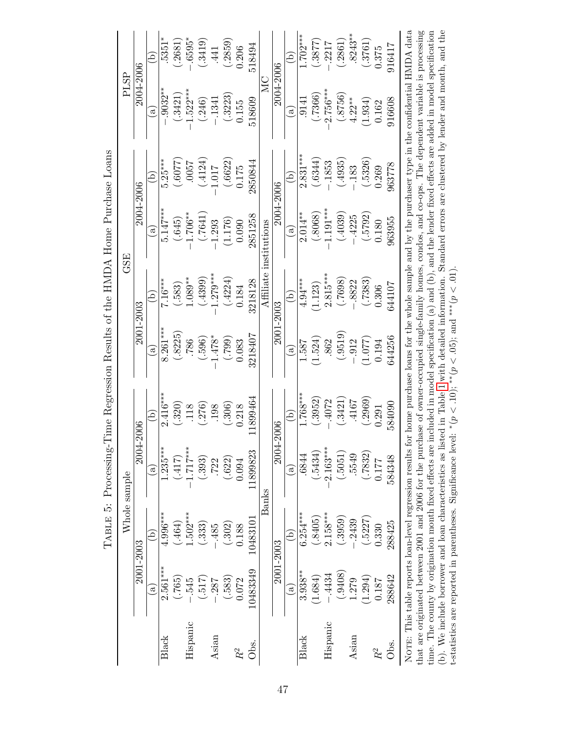<span id="page-47-0"></span>

|                                                         |              |           | $\Omega$               | $5351*$      | (.2681) | $.6595*$   | (.3419)  | .441       | (.2859) | 0.206 | 518494   |              |           | E                      | $1.702***$ | (.3877) | $-.2217$    | (.2861) | $.8243**$ | (.3761) | 0.375 | 916417 |                                                                                                      |
|---------------------------------------------------------|--------------|-----------|------------------------|--------------|---------|------------|----------|------------|---------|-------|----------|--------------|-----------|------------------------|------------|---------|-------------|---------|-----------|---------|-------|--------|------------------------------------------------------------------------------------------------------|
|                                                         | PLSP         | 2004-2006 | $\mathbf{c}$           | $.9032***$   | .3421)  | $1.522***$ | (.246)   | $-1341$    | (.3223) | 0.155 | 518609   | MC           | 2004-2006 | $\mathbf{c}$           | .9141      | (.7366) | $2.756***$  | (.8756) | $4.22***$ | (1.934) | 0.162 | 916608 | for home purchase loans for the whole sample and by the purchaser type in the confidential HMDA data |
|                                                         |              |           | $\Omega$               | $5.25***$    | (50077) | 7500.      | (.4124)  | 1.017      | (.6622) | 0.175 | 2850844  |              |           | E                      | $2.831***$ | (.6344) | $-.1853$    | (.4935) | $-.183$   | (.5326) | 0.269 | 963778 |                                                                                                      |
|                                                         |              | 2004-2006 | $\mathbf{a}$           | $5.147***$   | (.645)  | $1.706***$ | (0.7641) | 1.293      | (1.176) | 0.090 | 2851258  | institutions | 2004-2006 | $\mathbf{a}$           | $2.014***$ | (.8068) | $-1.191***$ | (.4039) | $-.4225$  | (.5792) | 0.180 | 963955 |                                                                                                      |
|                                                         | GSE          |           | $\Omega$               | $7.16***$    | (.583)  | $1.089**$  | (.4399)  | $1.279***$ | (.4224) | 0.184 | 3218128  | Affiliate    |           | E                      | $4.94***$  | (1.123) | $2.815***$  | (8697.) | .8822     | (.7383) | 0.306 | 544107 |                                                                                                      |
|                                                         |              | 2001-2003 | $\mathbf{c}$           | $8.261***$   | (.8225) | .786       | (.596)   | $-1.478*$  | (667.)  | 0.083 | 3218407  |              | 2001-2003 | $\widehat{\mathbf{e}}$ | 1.587      | (1.524) | 862         | (.9519) | $-.912$   | (1.077) | 0.194 | 644256 |                                                                                                      |
| Time Regression Results of the HMDA Home Purchase Loans |              | $-2006$   | $\Xi$                  | $2.416***$   | (.320)  | .118       | (.276)   | 198        | (.306)  | 0.218 | 1899464  |              |           | වු                     | $1.768***$ | (.3952) | $-.4072$    | (.3421) | .4167     | (.2969) | 0.291 | 584090 |                                                                                                      |
| TABLE 5: Processing-                                    |              | 2004      | $\widehat{a}$          | $1.235***$   | (417)   | $1.717***$ | (.393)   | .722       | (.622)  | 0.094 | 1899823  |              | 2004-2006 | $\widehat{a}$          | .6844      | (.5434) | $-2.163***$ | (.5051) | .5549     | (.7832) | 0.177 | 584348 |                                                                                                      |
|                                                         | Whole sample |           | $\Xi$                  | $4.996***$   | (.464)  | $.502***$  | (.333)   | .485       | (.302)  | 0.188 | 10483101 | Banks        |           | ē                      | $6.254***$ | (.8405) | $2.158***$  | (.3959) | .2439     | (.5227) | 0.330 | 288425 | NOTE: This table reports loan-level regression results                                               |
|                                                         |              | 2001-2003 | $\widehat{\mathbf{e}}$ | $2.561***$   | (.765)  | 545        | (517)    | .287       | (.583)  | 0.072 | 10483349 |              | 2001-2003 | $\widehat{a}$          | $3.938***$ | (1.684) | $-.4434$    | (.9408) | 1.279     | (1.294) | 0.187 | 288642 |                                                                                                      |
|                                                         |              |           |                        | <b>Black</b> |         | Hispanic   |          | Asian      |         | $R^2$ | Öbs.     |              |           |                        | Black      |         | Hispanic    |         | Asian     |         | $R^2$ | Obs.   |                                                                                                      |

that are originated between 2001 and 2006 for the purchase of owner-occupied single-family homes, condos, and co-ops. The dependent variable is processing<br>time. The county by origination month fixed effects are included i that are originated between 2001 and 2006 for the purchase of owner-occupied single-family homes, condos, and co-ops. The dependent variable is processing time. The county by origination month fixed effects are included in model specification (a) and (b), and the lender fixed effects are added in model specification (b). We include borrower and loan characteristics as listed in Table [1](#page-43-0) with detailed information. Standard errors are clustered by lender and month, and the t-statistics are reported in parentheses. Significance level:  $*(p < 10)$ ;  $**(p < .05)$ ; and  $***(p < .01)$ .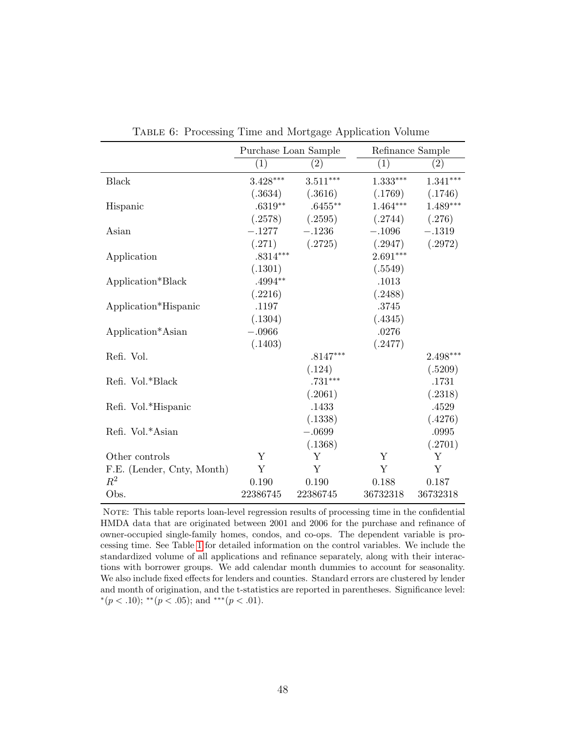<span id="page-48-0"></span>

|                            | Purchase Loan Sample |                   | Refinance Sample |                   |
|----------------------------|----------------------|-------------------|------------------|-------------------|
|                            | (1)                  | $\left( 2\right)$ | $\overline{(1)}$ | $\left( 2\right)$ |
| <b>Black</b>               | $3.428***$           | $3.511***$        | $1.333^{***}\,$  | $1.341***$        |
|                            | (.3634)              | (.3616)           | (.1769)          | (.1746)           |
| Hispanic                   | $.6319**$            | $.6455***$        | $1.464***$       | $1.489***$        |
|                            | (.2578)              | (.2595)           | (.2744)          | (.276)            |
| Asian                      | $-.1277$             | $-.1236$          | $-.1096$         | $-.1319$          |
|                            | (.271)               | (.2725)           | (.2947)          | (.2972)           |
| Application                | $.8314***$           |                   | $2.691***$       |                   |
|                            | (.1301)              |                   | (.5549)          |                   |
| Application*Black          | $.4994**$            |                   | .1013            |                   |
|                            | (.2216)              |                   | (.2488)          |                   |
| Application*Hispanic       | .1197                |                   | .3745            |                   |
|                            | (.1304)              |                   | (.4345)          |                   |
| Application*Asian          | $-.0966$             |                   | .0276            |                   |
|                            | (.1403)              |                   | (.2477)          |                   |
| Refi. Vol.                 |                      | $.8147***$        |                  | $2.498***$        |
|                            |                      | (.124)            |                  | (.5209)           |
| Refi. Vol.*Black           |                      | $.731***$         |                  | .1731             |
|                            |                      | (.2061)           |                  | (.2318)           |
| Refi. Vol.*Hispanic        |                      | .1433             |                  | .4529             |
|                            |                      | (.1338)           |                  | (.4276)           |
| Refi. Vol.*Asian           |                      | $-.0699$          |                  | .0995             |
|                            |                      | (.1368)           |                  | (.2701)           |
| Other controls             | Y                    | Υ                 | Y                | Υ                 |
| F.E. (Lender, Cnty, Month) | Y                    | Y                 | Y                | Y                 |
| $R^2$                      | 0.190                | 0.190             | 0.188            | 0.187             |
| Obs.                       | 22386745             | 22386745          | 36732318         | 36732318          |

Table 6: Processing Time and Mortgage Application Volume

NOTE: This table reports loan-level regression results of processing time in the confidential HMDA data that are originated between 2001 and 2006 for the purchase and refinance of owner-occupied single-family homes, condos, and co-ops. The dependent variable is processing time. See Table [1](#page-43-0) for detailed information on the control variables. We include the standardized volume of all applications and refinance separately, along with their interactions with borrower groups. We add calendar month dummies to account for seasonality. We also include fixed effects for lenders and counties. Standard errors are clustered by lender and month of origination, and the t-statistics are reported in parentheses. Significance level: \* $(p < .10);$ \*\* $(p < .05);$  and \*\*\* $(p < .01).$